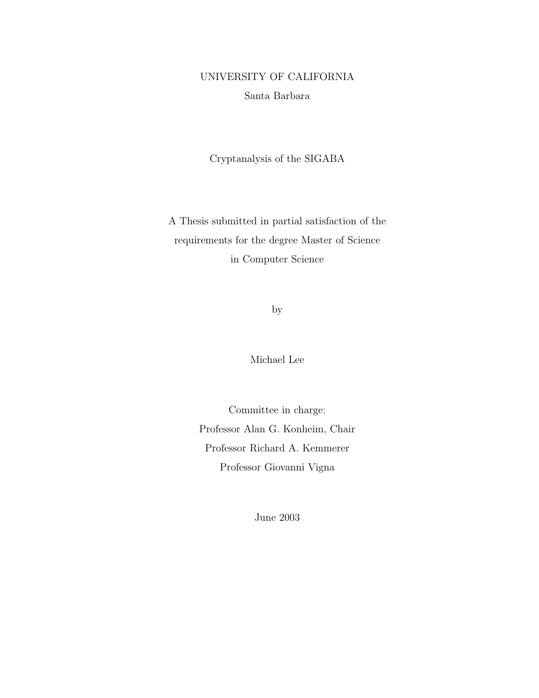## UNIVERSITY OF CALIFORNIA Santa Barbara

Cryptanalysis of the SIGABA

A Thesis submitted in partial satisfaction of the requirements for the degree Master of Science in Computer Science

by

Michael Lee

Committee in charge: Professor Alan G. Konheim, Chair Professor Richard A. Kemmerer Professor Giovanni Vigna

June 2003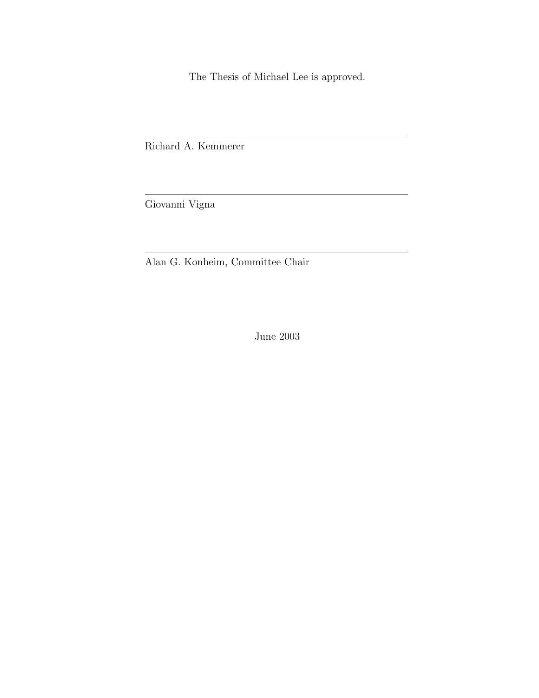The Thesis of Michael Lee is approved.

Richard A. Kemmerer

Giovanni Vigna

Alan G. Konheim, Committee Chair

June 2003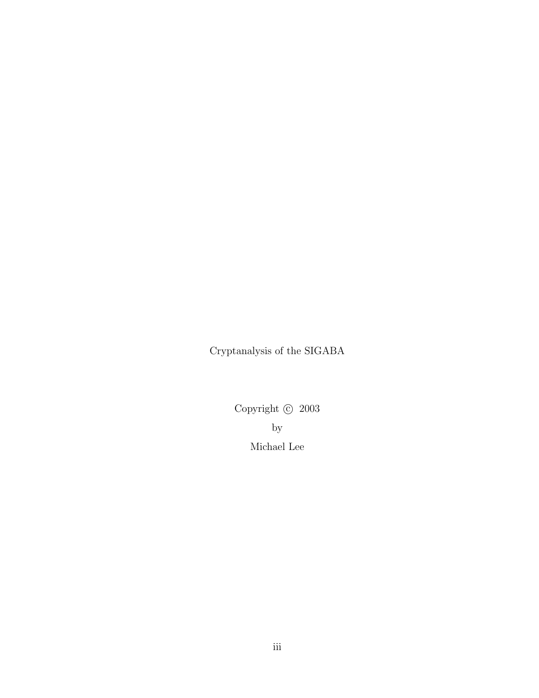Cryptanalysis of the SIGABA

Copyright  $\odot~2003$ by Michael Lee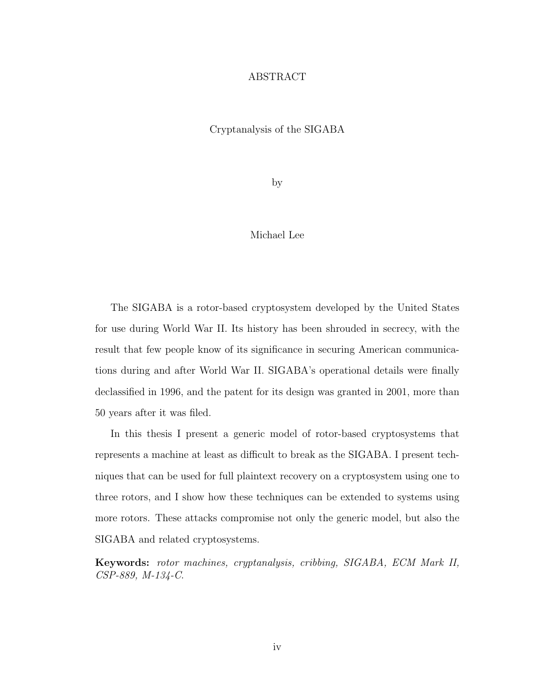#### ABSTRACT

#### Cryptanalysis of the SIGABA

by

#### Michael Lee

The SIGABA is a rotor-based cryptosystem developed by the United States for use during World War II. Its history has been shrouded in secrecy, with the result that few people know of its significance in securing American communications during and after World War II. SIGABA's operational details were finally declassified in 1996, and the patent for its design was granted in 2001, more than 50 years after it was filed.

In this thesis I present a generic model of rotor-based cryptosystems that represents a machine at least as difficult to break as the SIGABA. I present techniques that can be used for full plaintext recovery on a cryptosystem using one to three rotors, and I show how these techniques can be extended to systems using more rotors. These attacks compromise not only the generic model, but also the SIGABA and related cryptosystems.

Keywords: rotor machines, cryptanalysis, cribbing, SIGABA, ECM Mark II, CSP-889, M-134-C.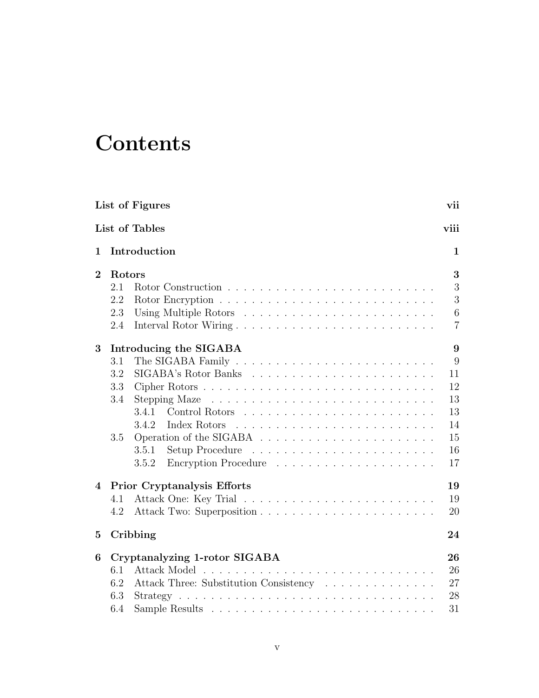## **Contents**

|                | List of Figures                                                                                | vii            |
|----------------|------------------------------------------------------------------------------------------------|----------------|
|                | List of Tables                                                                                 | viii           |
| 1              | Introduction                                                                                   | 1              |
| $\overline{2}$ | Rotors                                                                                         | 3              |
|                | 2.1                                                                                            | 3              |
|                | 2.2                                                                                            | 3              |
|                | 2.3                                                                                            | 6              |
|                | 2.4                                                                                            | $\overline{7}$ |
| 3              | Introducing the SIGABA                                                                         | 9              |
|                | 3.1                                                                                            | 9              |
|                | 3.2                                                                                            | 11             |
|                | 3.3                                                                                            | 12             |
|                | 3.4                                                                                            | 13             |
|                | 3.4.1                                                                                          | 13             |
|                | Index Rotors<br>3.4.2                                                                          | 14             |
|                | 3.5                                                                                            | 15             |
|                | 3.5.1                                                                                          | 16             |
|                | 3.5.2                                                                                          | 17             |
| 4              | Prior Cryptanalysis Efforts                                                                    | 19             |
|                | 4.1                                                                                            | 19             |
|                | 4.2                                                                                            | 20             |
| $\bf{5}$       | Cribbing                                                                                       | 24             |
| 6              | Cryptanalyzing 1-rotor SIGABA                                                                  | 26             |
|                | 6.1                                                                                            | 26             |
|                | Attack Three: Substitution Consistency<br>6.2                                                  | 27             |
|                | 6.3<br>$Strategy \ldots \ldots \ldots \ldots \ldots \ldots \ldots \ldots \ldots \ldots \ldots$ | 28             |
|                | 6.4                                                                                            | 31             |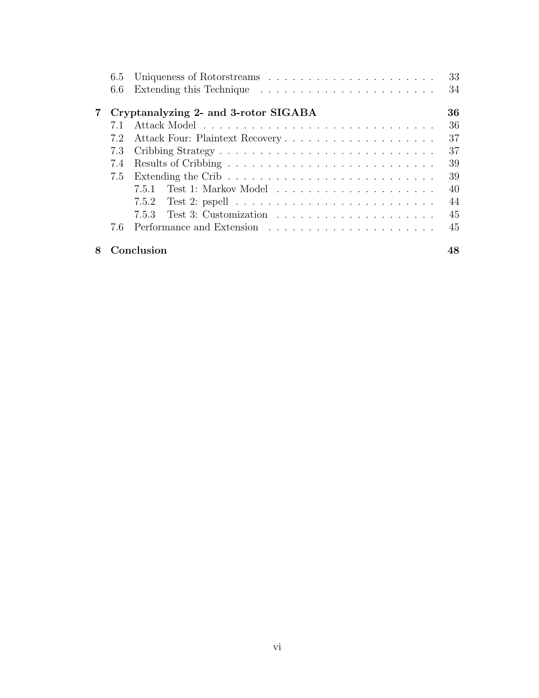|                | 6.5 |                                                                                          |
|----------------|-----|------------------------------------------------------------------------------------------|
|                | 6.6 |                                                                                          |
| $7\phantom{.}$ |     | Cryptanalyzing 2- and 3-rotor SIGABA                                                     |
|                | 7.1 |                                                                                          |
|                | 7.2 |                                                                                          |
|                | 7.3 |                                                                                          |
|                | 7.4 |                                                                                          |
|                | 7.5 |                                                                                          |
|                |     | 7.5.1                                                                                    |
|                |     | Test 2: pspell $\ldots \ldots \ldots \ldots \ldots \ldots \ldots \ldots \ldots$<br>7.5.2 |
|                |     | 7.5.3                                                                                    |
|                | 76  |                                                                                          |
| 8              |     | Conclusion                                                                               |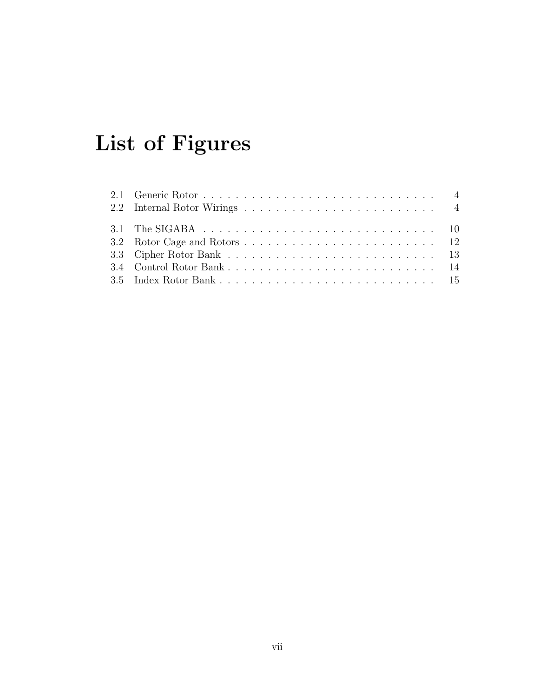# List of Figures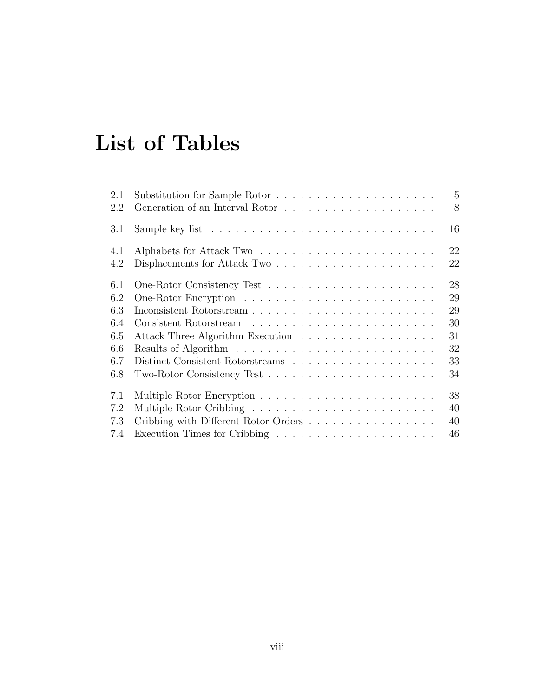## List of Tables

| 2.1 | Substitution for Sample Rotor                                                       | $5\overline{)}$ |
|-----|-------------------------------------------------------------------------------------|-----------------|
| 2.2 |                                                                                     | 8               |
| 3.1 | Sample key list $\dots \dots \dots \dots \dots \dots \dots \dots \dots \dots \dots$ | 16              |
| 4.1 |                                                                                     | 22              |
| 4.2 | Displacements for Attack Two $\dots \dots \dots \dots \dots \dots \dots$            | 22              |
| 6.1 |                                                                                     | 28              |
| 6.2 |                                                                                     | 29              |
| 6.3 |                                                                                     | 29              |
| 6.4 |                                                                                     | 30              |
| 6.5 | 31<br>Attack Three Algorithm Execution                                              |                 |
| 6.6 |                                                                                     | 32              |
| 6.7 |                                                                                     | 33              |
| 6.8 |                                                                                     | 34              |
| 7.1 |                                                                                     | 38              |
| 7.2 |                                                                                     | 40              |
| 7.3 | Cribbing with Different Rotor Orders                                                | 40              |
| 7.4 | 46                                                                                  |                 |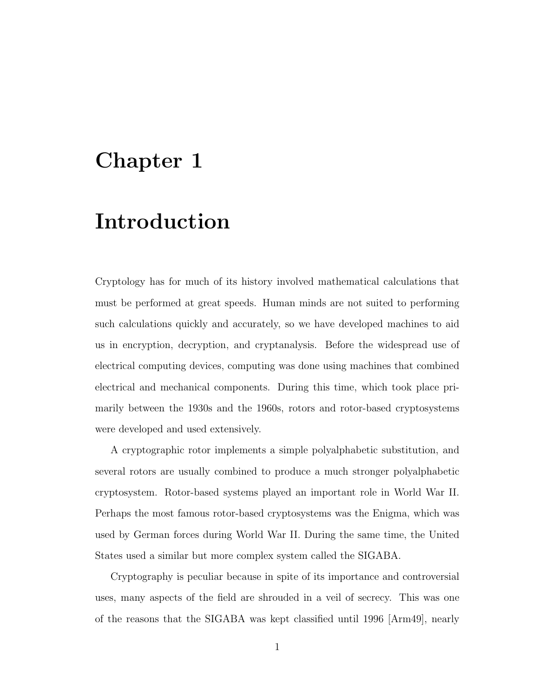## Chapter 1

## Introduction

Cryptology has for much of its history involved mathematical calculations that must be performed at great speeds. Human minds are not suited to performing such calculations quickly and accurately, so we have developed machines to aid us in encryption, decryption, and cryptanalysis. Before the widespread use of electrical computing devices, computing was done using machines that combined electrical and mechanical components. During this time, which took place primarily between the 1930s and the 1960s, rotors and rotor-based cryptosystems were developed and used extensively.

A cryptographic rotor implements a simple polyalphabetic substitution, and several rotors are usually combined to produce a much stronger polyalphabetic cryptosystem. Rotor-based systems played an important role in World War II. Perhaps the most famous rotor-based cryptosystems was the Enigma, which was used by German forces during World War II. During the same time, the United States used a similar but more complex system called the SIGABA.

Cryptography is peculiar because in spite of its importance and controversial uses, many aspects of the field are shrouded in a veil of secrecy. This was one of the reasons that the SIGABA was kept classified until 1996 [Arm49], nearly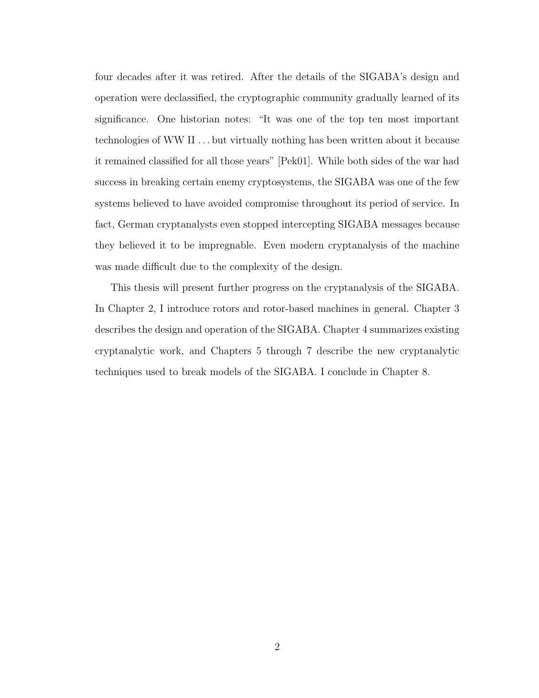four decades after it was retired. After the details of the SIGABA's design and operation were declassified, the cryptographic community gradually learned of its significance. One historian notes: "It was one of the top ten most important technologies of WW II . . . but virtually nothing has been written about it because it remained classified for all those years" [Pek01]. While both sides of the war had success in breaking certain enemy cryptosystems, the SIGABA was one of the few systems believed to have avoided compromise throughout its period of service. In fact, German cryptanalysts even stopped intercepting SIGABA messages because they believed it to be impregnable. Even modern cryptanalysis of the machine was made difficult due to the complexity of the design.

This thesis will present further progress on the cryptanalysis of the SIGABA. In Chapter 2, I introduce rotors and rotor-based machines in general. Chapter 3 describes the design and operation of the SIGABA. Chapter 4 summarizes existing cryptanalytic work, and Chapters 5 through 7 describe the new cryptanalytic techniques used to break models of the SIGABA. I conclude in Chapter 8.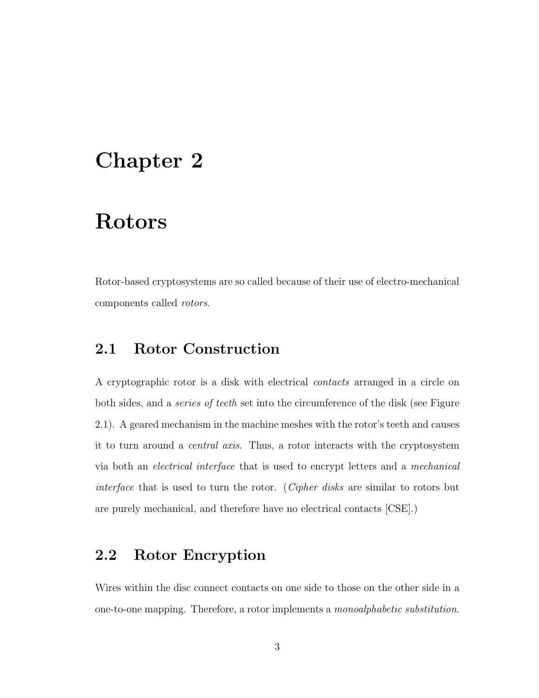## Chapter 2

## Rotors

Rotor-based cryptosystems are so called because of their use of electro-mechanical components called rotors.

### 2.1 Rotor Construction

A cryptographic rotor is a disk with electrical contacts arranged in a circle on both sides, and a series of teeth set into the circumference of the disk (see Figure 2.1). A geared mechanism in the machine meshes with the rotor's teeth and causes it to turn around a central axis. Thus, a rotor interacts with the cryptosystem via both an electrical interface that is used to encrypt letters and a mechanical interface that is used to turn the rotor. (Cipher disks are similar to rotors but are purely mechanical, and therefore have no electrical contacts [CSE].)

## 2.2 Rotor Encryption

Wires within the disc connect contacts on one side to those on the other side in a one-to-one mapping. Therefore, a rotor implements a monoalphabetic substitution.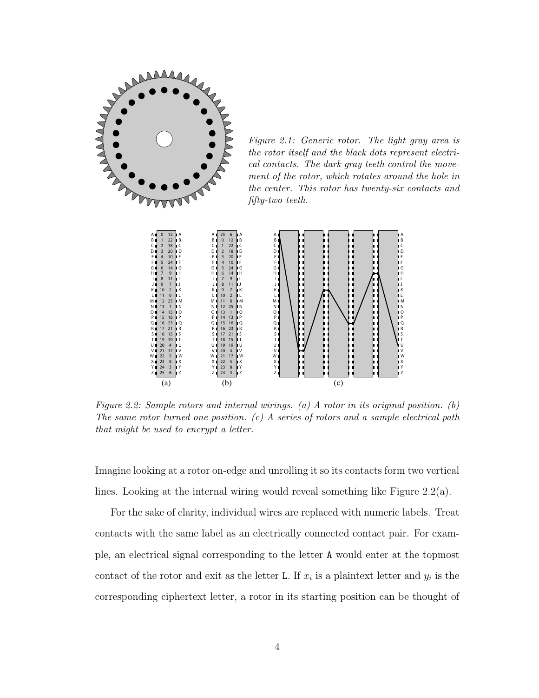

Figure 2.1: Generic rotor. The light gray area is the rotor itself and the black dots represent electrical contacts. The dark gray teeth control the movement of the rotor, which rotates around the hole in the center. This rotor has twenty-six contacts and fifty-two teeth.



Figure 2.2: Sample rotors and internal wirings. (a) A rotor in its original position. (b) The same rotor turned one position.  $(c)$  A series of rotors and a sample electrical path that might be used to encrypt a letter.

Imagine looking at a rotor on-edge and unrolling it so its contacts form two vertical lines. Looking at the internal wiring would reveal something like Figure 2.2(a).

For the sake of clarity, individual wires are replaced with numeric labels. Treat contacts with the same label as an electrically connected contact pair. For example, an electrical signal corresponding to the letter A would enter at the topmost contact of the rotor and exit as the letter L. If  $x_i$  is a plaintext letter and  $y_i$  is the corresponding ciphertext letter, a rotor in its starting position can be thought of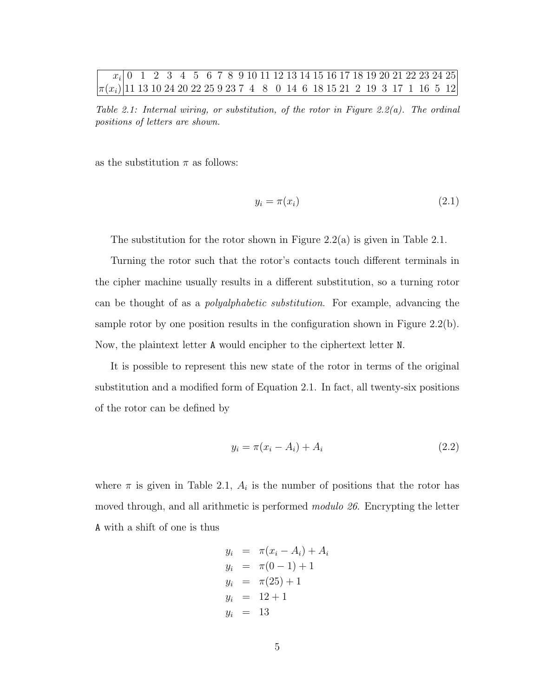#### $\overline{x_i}$  0 1 2 3 4 5 6 7 8 9 10 11 12 13 14 15 16 17 18 19 20 21 22 23 24 25  $|\pi(x_i)|$ 11 13 10 24 20 22 25 9 23 7 4 8 0 14 6 18 15 21 2 19 3 17 1 16 5 12

Table 2.1: Internal wiring, or substitution, of the rotor in Figure 2.2(a). The ordinal positions of letters are shown.

as the substitution  $\pi$  as follows:

$$
y_i = \pi(x_i) \tag{2.1}
$$

The substitution for the rotor shown in Figure  $2.2(a)$  is given in Table 2.1.

Turning the rotor such that the rotor's contacts touch different terminals in the cipher machine usually results in a different substitution, so a turning rotor can be thought of as a polyalphabetic substitution. For example, advancing the sample rotor by one position results in the configuration shown in Figure 2.2(b). Now, the plaintext letter A would encipher to the ciphertext letter N.

It is possible to represent this new state of the rotor in terms of the original substitution and a modified form of Equation 2.1. In fact, all twenty-six positions of the rotor can be defined by

$$
y_i = \pi(x_i - A_i) + A_i \tag{2.2}
$$

where  $\pi$  is given in Table 2.1,  $A_i$  is the number of positions that the rotor has moved through, and all arithmetic is performed modulo 26. Encrypting the letter A with a shift of one is thus

$$
y_i = \pi(x_i - A_i) + A_i
$$
  
\n
$$
y_i = \pi(0 - 1) + 1
$$
  
\n
$$
y_i = \pi(25) + 1
$$
  
\n
$$
y_i = 12 + 1
$$
  
\n
$$
y_i = 13
$$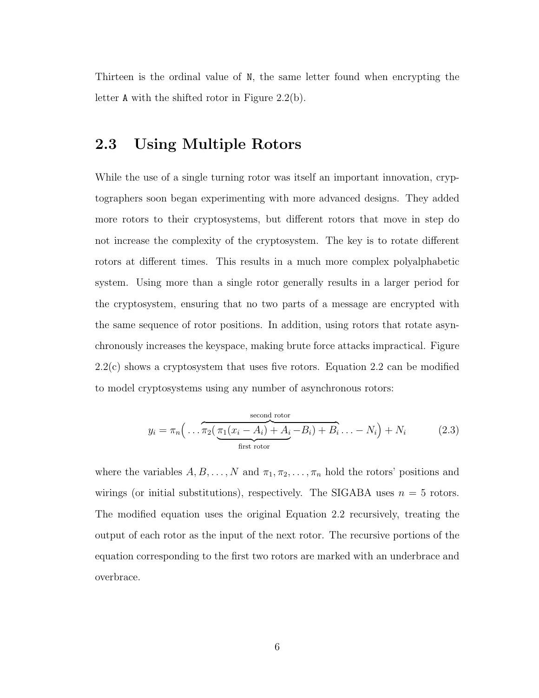Thirteen is the ordinal value of N, the same letter found when encrypting the letter A with the shifted rotor in Figure 2.2(b).

### 2.3 Using Multiple Rotors

While the use of a single turning rotor was itself an important innovation, cryptographers soon began experimenting with more advanced designs. They added more rotors to their cryptosystems, but different rotors that move in step do not increase the complexity of the cryptosystem. The key is to rotate different rotors at different times. This results in a much more complex polyalphabetic system. Using more than a single rotor generally results in a larger period for the cryptosystem, ensuring that no two parts of a message are encrypted with the same sequence of rotor positions. In addition, using rotors that rotate asynchronously increases the keyspace, making brute force attacks impractical. Figure 2.2(c) shows a cryptosystem that uses five rotors. Equation 2.2 can be modified to model cryptosystems using any number of asynchronous rotors:

$$
y_i = \pi_n \left( \dots \overbrace{\pi_2 \left( \underbrace{\pi_1 (x_i - A_i) + A_i - B_i}_{\text{first rotor}} \right) + B_i \dots - N_i}^{second rotor} \right) + N_i \tag{2.3}
$$

where the variables  $A, B, \ldots, N$  and  $\pi_1, \pi_2, \ldots, \pi_n$  hold the rotors' positions and wirings (or initial substitutions), respectively. The SIGABA uses  $n = 5$  rotors. The modified equation uses the original Equation 2.2 recursively, treating the output of each rotor as the input of the next rotor. The recursive portions of the equation corresponding to the first two rotors are marked with an underbrace and overbrace.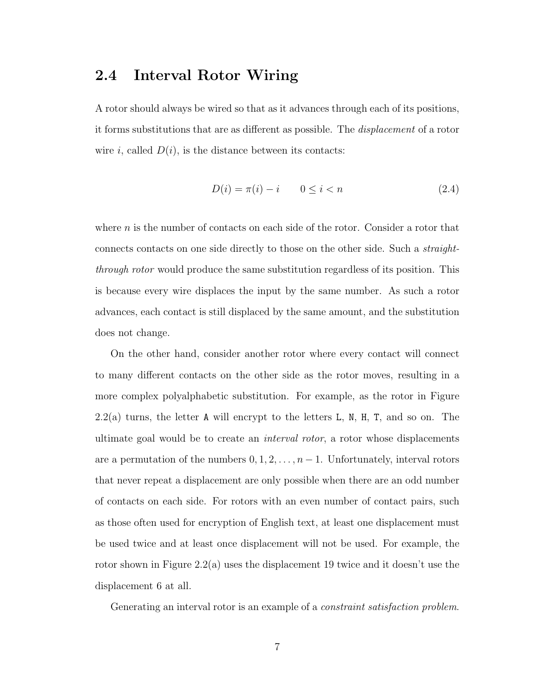#### 2.4 Interval Rotor Wiring

A rotor should always be wired so that as it advances through each of its positions, it forms substitutions that are as different as possible. The displacement of a rotor wire i, called  $D(i)$ , is the distance between its contacts:

$$
D(i) = \pi(i) - i \qquad 0 \le i < n \tag{2.4}
$$

where  $n$  is the number of contacts on each side of the rotor. Consider a rotor that connects contacts on one side directly to those on the other side. Such a straightthrough rotor would produce the same substitution regardless of its position. This is because every wire displaces the input by the same number. As such a rotor advances, each contact is still displaced by the same amount, and the substitution does not change.

On the other hand, consider another rotor where every contact will connect to many different contacts on the other side as the rotor moves, resulting in a more complex polyalphabetic substitution. For example, as the rotor in Figure  $2.2(a)$  turns, the letter A will encrypt to the letters L, N, H, T, and so on. The ultimate goal would be to create an interval rotor, a rotor whose displacements are a permutation of the numbers  $0, 1, 2, \ldots, n-1$ . Unfortunately, interval rotors that never repeat a displacement are only possible when there are an odd number of contacts on each side. For rotors with an even number of contact pairs, such as those often used for encryption of English text, at least one displacement must be used twice and at least once displacement will not be used. For example, the rotor shown in Figure 2.2(a) uses the displacement 19 twice and it doesn't use the displacement 6 at all.

Generating an interval rotor is an example of a *constraint satisfaction problem*.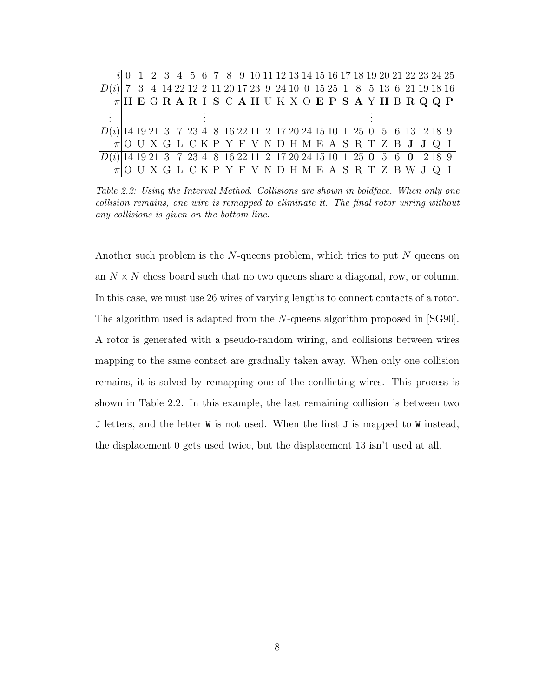|                                                                                                   |  |  |  |  | $i$ 0 1 2 3 4 5 6 7 8 9 10 11 12 13 14 15 16 17 18 19 20 21 22 23 24 25 |  |  |  |  |  |  |  |  |  |
|---------------------------------------------------------------------------------------------------|--|--|--|--|-------------------------------------------------------------------------|--|--|--|--|--|--|--|--|--|
| $\left D(i)\right $ 7 3 4 14 22 12 2 11 20 17 23 9 24 10 0 15 25 1 8 5 13 6 21 19 18 16           |  |  |  |  |                                                                         |  |  |  |  |  |  |  |  |  |
|                                                                                                   |  |  |  |  | $\pi$  HEGRARISCAHUKXOEPSAYHBRQQP                                       |  |  |  |  |  |  |  |  |  |
|                                                                                                   |  |  |  |  |                                                                         |  |  |  |  |  |  |  |  |  |
| $\left D(i)\right $ 14 19 21 3 7 23 4 8 16 22 11 2 17 20 24 15 10 1 25 0 5 6 13 12 18 9 $\right $ |  |  |  |  |                                                                         |  |  |  |  |  |  |  |  |  |
|                                                                                                   |  |  |  |  | $\pi$ OUXGLCKPYFVNDHMEASRTZBJJQI                                        |  |  |  |  |  |  |  |  |  |
| $\overline{ D(i) }$ 14 19 21 3 7 23 4 8 16 22 11 2 17 20 24 15 10 1 25 0 5 6 0 12 18 9            |  |  |  |  |                                                                         |  |  |  |  |  |  |  |  |  |
|                                                                                                   |  |  |  |  | $\pi$ OUXGLCKPYFVNDHMEASRTZBWJQI                                        |  |  |  |  |  |  |  |  |  |

Table 2.2: Using the Interval Method. Collisions are shown in boldface. When only one collision remains, one wire is remapped to eliminate it. The final rotor wiring without any collisions is given on the bottom line.

Another such problem is the  $N$ -queens problem, which tries to put  $N$  queens on an  $N \times N$  chess board such that no two queens share a diagonal, row, or column. In this case, we must use 26 wires of varying lengths to connect contacts of a rotor. The algorithm used is adapted from the N-queens algorithm proposed in [SG90]. A rotor is generated with a pseudo-random wiring, and collisions between wires mapping to the same contact are gradually taken away. When only one collision remains, it is solved by remapping one of the conflicting wires. This process is shown in Table 2.2. In this example, the last remaining collision is between two J letters, and the letter W is not used. When the first J is mapped to W instead, the displacement 0 gets used twice, but the displacement 13 isn't used at all.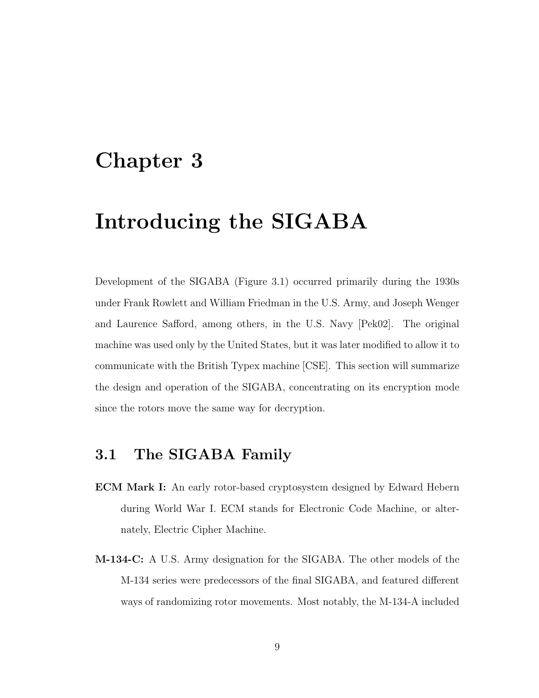## Chapter 3

## Introducing the SIGABA

Development of the SIGABA (Figure 3.1) occurred primarily during the 1930s under Frank Rowlett and William Friedman in the U.S. Army, and Joseph Wenger and Laurence Safford, among others, in the U.S. Navy [Pek02]. The original machine was used only by the United States, but it was later modified to allow it to communicate with the British Typex machine [CSE]. This section will summarize the design and operation of the SIGABA, concentrating on its encryption mode since the rotors move the same way for decryption.

### 3.1 The SIGABA Family

- ECM Mark I: An early rotor-based cryptosystem designed by Edward Hebern during World War I. ECM stands for Electronic Code Machine, or alternately, Electric Cipher Machine.
- M-134-C: A U.S. Army designation for the SIGABA. The other models of the M-134 series were predecessors of the final SIGABA, and featured different ways of randomizing rotor movements. Most notably, the M-134-A included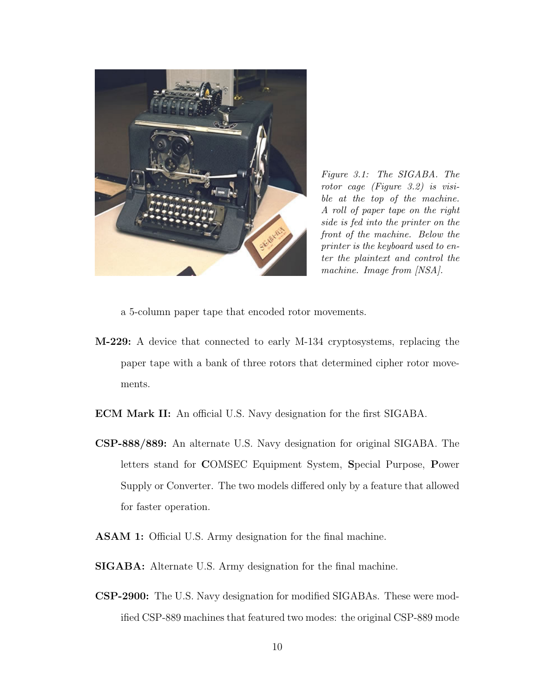

Figure 3.1: The SIGABA. The rotor cage (Figure 3.2) is visible at the top of the machine. A roll of paper tape on the right side is fed into the printer on the front of the machine. Below the printer is the keyboard used to enter the plaintext and control the machine. Image from  $|NSA|$ .

a 5-column paper tape that encoded rotor movements.

- M-229: A device that connected to early M-134 cryptosystems, replacing the paper tape with a bank of three rotors that determined cipher rotor movements.
- ECM Mark II: An official U.S. Navy designation for the first SIGABA.
- CSP-888/889: An alternate U.S. Navy designation for original SIGABA. The letters stand for COMSEC Equipment System, Special Purpose, Power Supply or Converter. The two models differed only by a feature that allowed for faster operation.
- ASAM 1: Official U.S. Army designation for the final machine.
- SIGABA: Alternate U.S. Army designation for the final machine.
- CSP-2900: The U.S. Navy designation for modified SIGABAs. These were modified CSP-889 machines that featured two modes: the original CSP-889 mode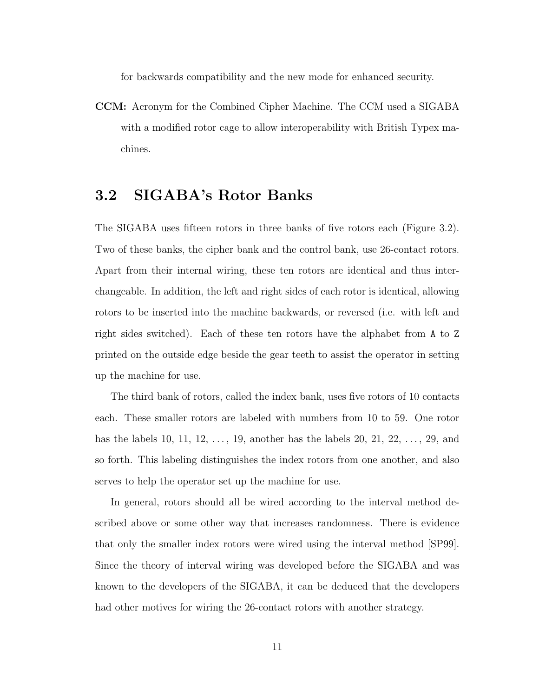for backwards compatibility and the new mode for enhanced security.

CCM: Acronym for the Combined Cipher Machine. The CCM used a SIGABA with a modified rotor cage to allow interoperability with British Typex machines.

### 3.2 SIGABA's Rotor Banks

The SIGABA uses fifteen rotors in three banks of five rotors each (Figure 3.2). Two of these banks, the cipher bank and the control bank, use 26-contact rotors. Apart from their internal wiring, these ten rotors are identical and thus interchangeable. In addition, the left and right sides of each rotor is identical, allowing rotors to be inserted into the machine backwards, or reversed (i.e. with left and right sides switched). Each of these ten rotors have the alphabet from A to Z printed on the outside edge beside the gear teeth to assist the operator in setting up the machine for use.

The third bank of rotors, called the index bank, uses five rotors of 10 contacts each. These smaller rotors are labeled with numbers from 10 to 59. One rotor has the labels 10, 11, 12,  $\dots$ , 19, another has the labels 20, 21, 22,  $\dots$ , 29, and so forth. This labeling distinguishes the index rotors from one another, and also serves to help the operator set up the machine for use.

In general, rotors should all be wired according to the interval method described above or some other way that increases randomness. There is evidence that only the smaller index rotors were wired using the interval method [SP99]. Since the theory of interval wiring was developed before the SIGABA and was known to the developers of the SIGABA, it can be deduced that the developers had other motives for wiring the 26-contact rotors with another strategy.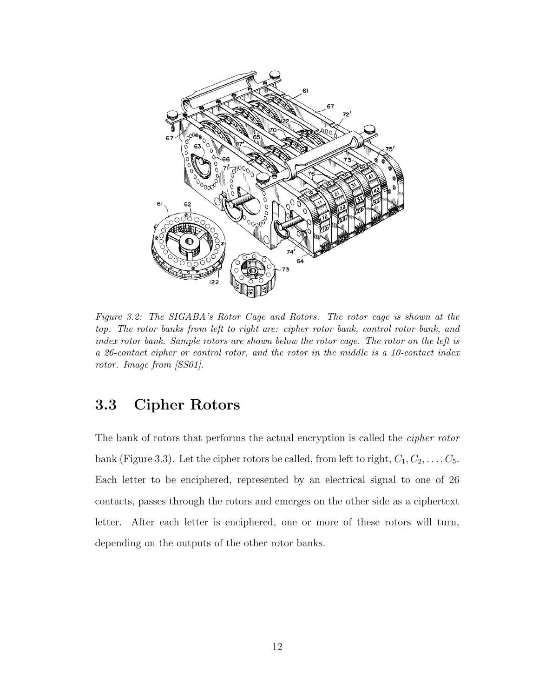

Figure 3.2: The SIGABA's Rotor Cage and Rotors. The rotor cage is shown at the top. The rotor banks from left to right are: cipher rotor bank, control rotor bank, and index rotor bank. Sample rotors are shown below the rotor cage. The rotor on the left is a 26-contact cipher or control rotor, and the rotor in the middle is a 10-contact index rotor. Image from [SS01].

## 3.3 Cipher Rotors

The bank of rotors that performs the actual encryption is called the cipher rotor bank (Figure 3.3). Let the cipher rotors be called, from left to right,  $C_1, C_2, \ldots, C_5$ . Each letter to be enciphered, represented by an electrical signal to one of 26 contacts, passes through the rotors and emerges on the other side as a ciphertext letter. After each letter is enciphered, one or more of these rotors will turn, depending on the outputs of the other rotor banks.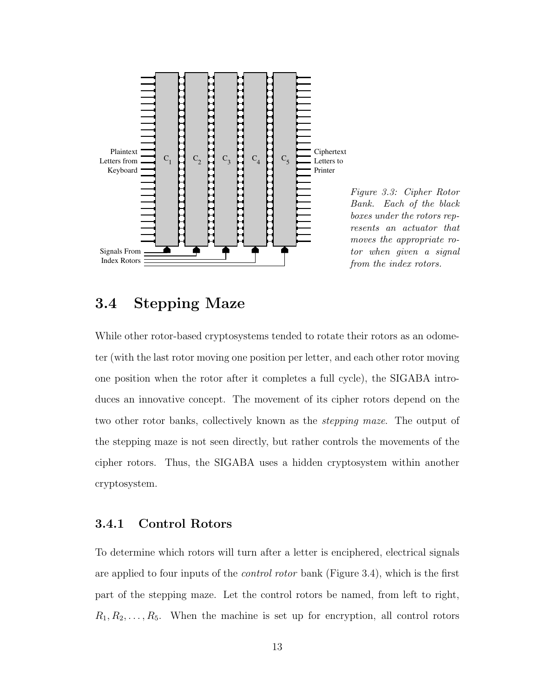

Figure 3.3: Cipher Rotor Bank. Each of the black boxes under the rotors represents an actuator that moves the appropriate rotor when given a signal from the index rotors.

### 3.4 Stepping Maze

While other rotor-based cryptosystems tended to rotate their rotors as an odometer (with the last rotor moving one position per letter, and each other rotor moving one position when the rotor after it completes a full cycle), the SIGABA introduces an innovative concept. The movement of its cipher rotors depend on the two other rotor banks, collectively known as the stepping maze. The output of the stepping maze is not seen directly, but rather controls the movements of the cipher rotors. Thus, the SIGABA uses a hidden cryptosystem within another cryptosystem.

#### 3.4.1 Control Rotors

To determine which rotors will turn after a letter is enciphered, electrical signals are applied to four inputs of the *control rotor* bank (Figure 3.4), which is the first part of the stepping maze. Let the control rotors be named, from left to right,  $R_1, R_2, \ldots, R_5$ . When the machine is set up for encryption, all control rotors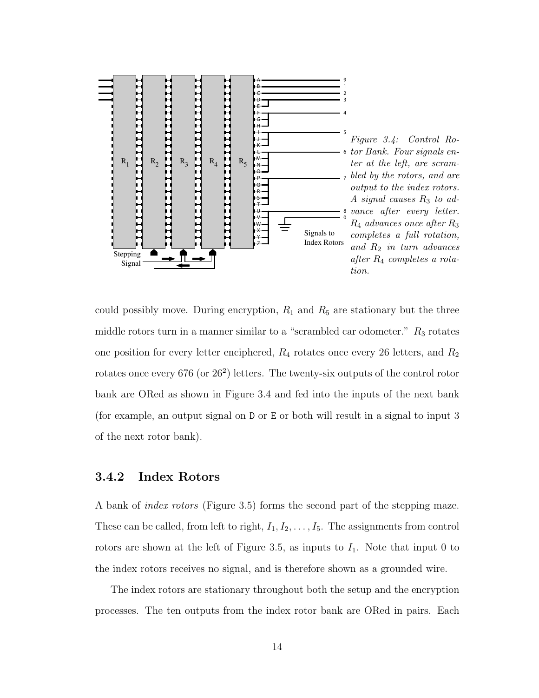

could possibly move. During encryption,  $R_1$  and  $R_5$  are stationary but the three middle rotors turn in a manner similar to a "scrambled car odometer."  $R_3$  rotates one position for every letter enciphered,  $R_4$  rotates once every 26 letters, and  $R_2$ rotates once every 676 (or  $26^2$ ) letters. The twenty-six outputs of the control rotor bank are ORed as shown in Figure 3.4 and fed into the inputs of the next bank (for example, an output signal on D or E or both will result in a signal to input 3 of the next rotor bank).

#### 3.4.2 Index Rotors

A bank of index rotors (Figure 3.5) forms the second part of the stepping maze. These can be called, from left to right,  $I_1, I_2, \ldots, I_5$ . The assignments from control rotors are shown at the left of Figure 3.5, as inputs to  $I_1$ . Note that input 0 to the index rotors receives no signal, and is therefore shown as a grounded wire.

The index rotors are stationary throughout both the setup and the encryption processes. The ten outputs from the index rotor bank are ORed in pairs. Each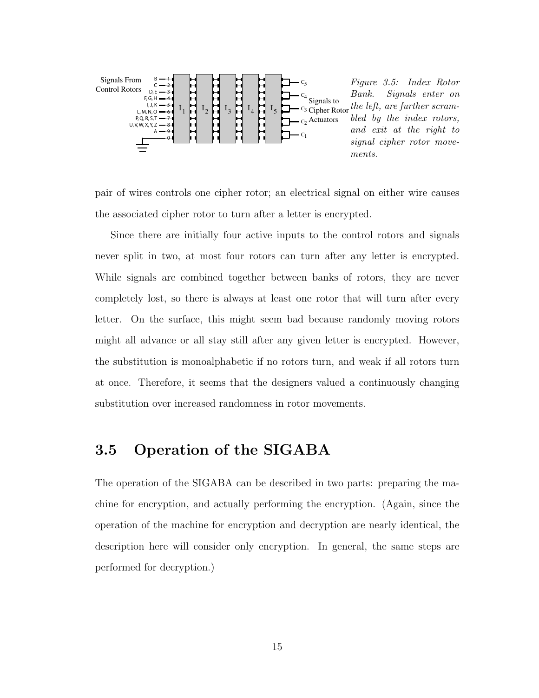

pair of wires controls one cipher rotor; an electrical signal on either wire causes the associated cipher rotor to turn after a letter is encrypted.

Since there are initially four active inputs to the control rotors and signals never split in two, at most four rotors can turn after any letter is encrypted. While signals are combined together between banks of rotors, they are never completely lost, so there is always at least one rotor that will turn after every letter. On the surface, this might seem bad because randomly moving rotors might all advance or all stay still after any given letter is encrypted. However, the substitution is monoalphabetic if no rotors turn, and weak if all rotors turn at once. Therefore, it seems that the designers valued a continuously changing substitution over increased randomness in rotor movements.

### 3.5 Operation of the SIGABA

The operation of the SIGABA can be described in two parts: preparing the machine for encryption, and actually performing the encryption. (Again, since the operation of the machine for encryption and decryption are nearly identical, the description here will consider only encryption. In general, the same steps are performed for decryption.)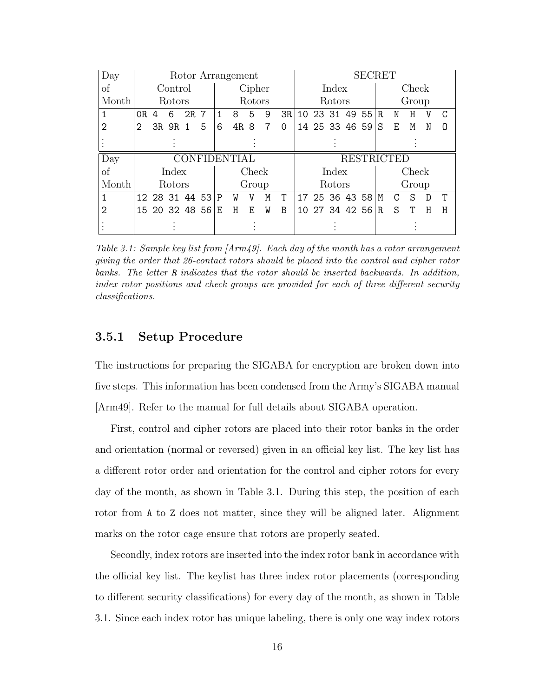| Day           |      |         |                |                  |        | Rotor Arrangement   |       |   |          | <b>SECRET</b> |                |       |  |                   |       |   |       |   |   |  |  |  |
|---------------|------|---------|----------------|------------------|--------|---------------------|-------|---|----------|---------------|----------------|-------|--|-------------------|-------|---|-------|---|---|--|--|--|
| $\mathrm{of}$ |      | Control |                |                  | Cipher |                     |       |   |          |               | Index          |       |  |                   |       |   | Check |   |   |  |  |  |
| Month         |      | Rotors  |                |                  | Rotors |                     |       |   |          |               | Rotors         |       |  |                   |       |   | Group |   |   |  |  |  |
|               | OR 4 | 6       | 2R 7           |                  | 1      | 8                   | 5     | 9 | 3R       |               | 10 23 31 49 55 |       |  |                   | R.    | N | H     | V | C |  |  |  |
| 2             |      | 3R 9R 1 |                | 5                | 6      | 4R 8                |       | 7 | $\Omega$ |               |                |       |  | 14 25 33 46 59    | S     | Ε | M     | N | O |  |  |  |
|               |      |         |                |                  |        |                     |       |   |          |               |                |       |  |                   |       |   |       |   |   |  |  |  |
| Day           |      |         |                |                  |        | <b>CONFIDENTIAL</b> |       |   |          |               |                |       |  | <b>RESTRICTED</b> |       |   |       |   |   |  |  |  |
| $\mathrm{of}$ |      | Index   |                |                  |        |                     | Check |   |          |               |                | Index |  |                   | Check |   |       |   |   |  |  |  |
| Month         |      | Rotors  |                |                  |        |                     | Group |   |          | <b>Rotors</b> |                |       |  |                   | Group |   |       |   |   |  |  |  |
| 1             |      |         |                | 12 28 31 44 53 P |        | W                   | V     | M | T        |               |                |       |  | 17 25 36 43 58    | M     | C | S     | D | т |  |  |  |
| 2             |      |         | 15 20 32 48 56 |                  | E      | H                   | F.    | W | B        |               |                |       |  | 10 27 34 42 56    | R     | S |       | Η | Η |  |  |  |
|               |      |         |                |                  |        |                     |       |   |          |               |                |       |  |                   |       |   |       |   |   |  |  |  |

Table 3.1: Sample key list from [Arm49]. Each day of the month has a rotor arrangement giving the order that 26-contact rotors should be placed into the control and cipher rotor banks. The letter R indicates that the rotor should be inserted backwards. In addition, index rotor positions and check groups are provided for each of three different security classifications.

#### 3.5.1 Setup Procedure

The instructions for preparing the SIGABA for encryption are broken down into five steps. This information has been condensed from the Army's SIGABA manual [Arm49]. Refer to the manual for full details about SIGABA operation.

First, control and cipher rotors are placed into their rotor banks in the order and orientation (normal or reversed) given in an official key list. The key list has a different rotor order and orientation for the control and cipher rotors for every day of the month, as shown in Table 3.1. During this step, the position of each rotor from A to Z does not matter, since they will be aligned later. Alignment marks on the rotor cage ensure that rotors are properly seated.

Secondly, index rotors are inserted into the index rotor bank in accordance with the official key list. The keylist has three index rotor placements (corresponding to different security classifications) for every day of the month, as shown in Table 3.1. Since each index rotor has unique labeling, there is only one way index rotors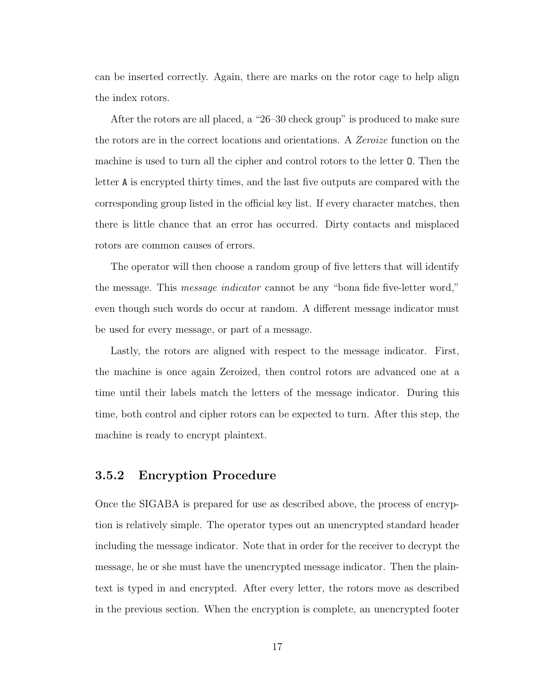can be inserted correctly. Again, there are marks on the rotor cage to help align the index rotors.

After the rotors are all placed, a "26–30 check group" is produced to make sure the rotors are in the correct locations and orientations. A Zeroize function on the machine is used to turn all the cipher and control rotors to the letter O. Then the letter A is encrypted thirty times, and the last five outputs are compared with the corresponding group listed in the official key list. If every character matches, then there is little chance that an error has occurred. Dirty contacts and misplaced rotors are common causes of errors.

The operator will then choose a random group of five letters that will identify the message. This *message indicator* cannot be any "bona fide five-letter word," even though such words do occur at random. A different message indicator must be used for every message, or part of a message.

Lastly, the rotors are aligned with respect to the message indicator. First, the machine is once again Zeroized, then control rotors are advanced one at a time until their labels match the letters of the message indicator. During this time, both control and cipher rotors can be expected to turn. After this step, the machine is ready to encrypt plaintext.

#### 3.5.2 Encryption Procedure

Once the SIGABA is prepared for use as described above, the process of encryption is relatively simple. The operator types out an unencrypted standard header including the message indicator. Note that in order for the receiver to decrypt the message, he or she must have the unencrypted message indicator. Then the plaintext is typed in and encrypted. After every letter, the rotors move as described in the previous section. When the encryption is complete, an unencrypted footer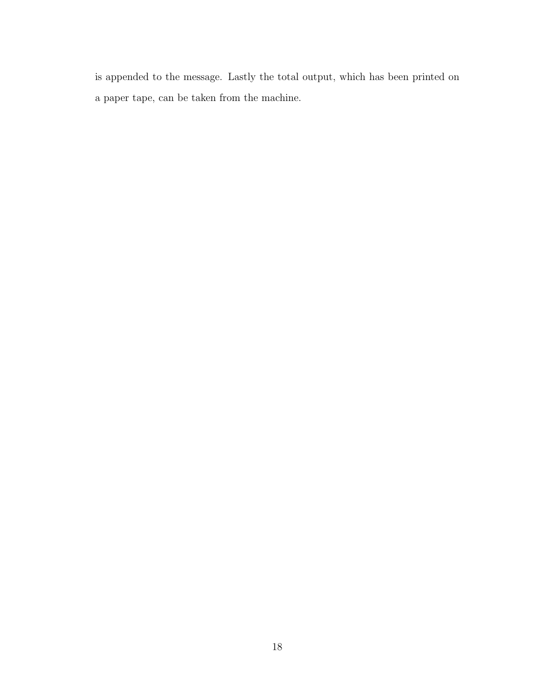is appended to the message. Lastly the total output, which has been printed on a paper tape, can be taken from the machine.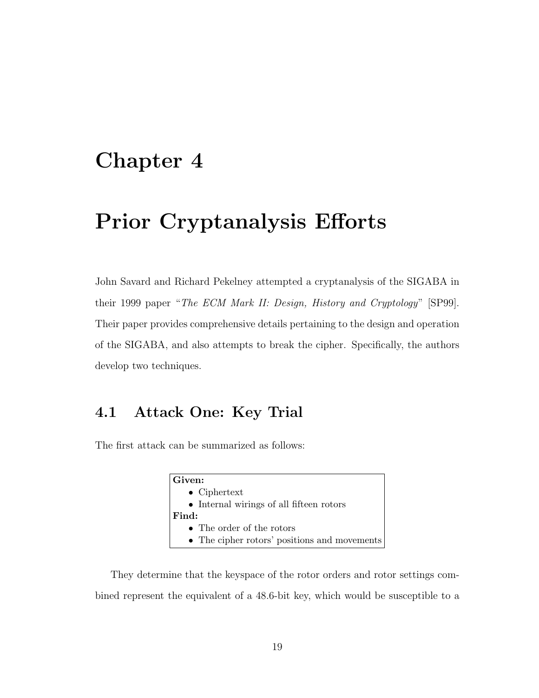## Chapter 4

## Prior Cryptanalysis Efforts

John Savard and Richard Pekelney attempted a cryptanalysis of the SIGABA in their 1999 paper "The ECM Mark II: Design, History and Cryptology" [SP99]. Their paper provides comprehensive details pertaining to the design and operation of the SIGABA, and also attempts to break the cipher. Specifically, the authors develop two techniques.

### 4.1 Attack One: Key Trial

The first attack can be summarized as follows:

| Given:                                            |
|---------------------------------------------------|
| $\bullet$ Ciphertext                              |
| $\bullet~$ Internal wirings of all fifteen rotors |
| Find:                                             |
| • The order of the rotors                         |
| • The cipher rotors' positions and movements      |

They determine that the keyspace of the rotor orders and rotor settings combined represent the equivalent of a 48.6-bit key, which would be susceptible to a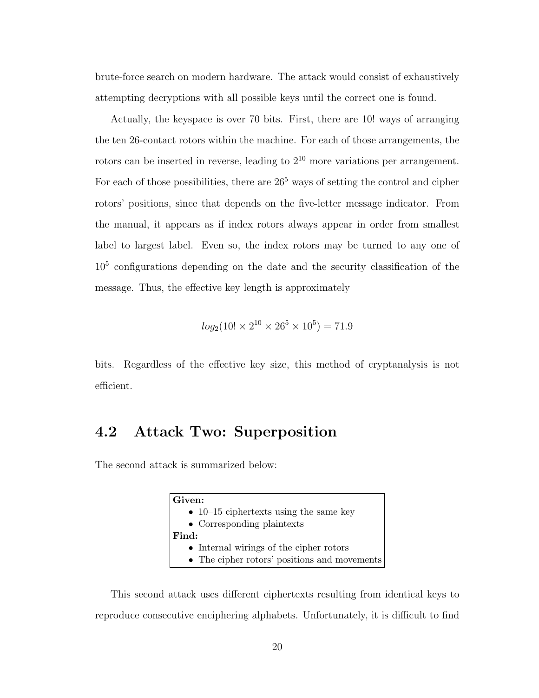brute-force search on modern hardware. The attack would consist of exhaustively attempting decryptions with all possible keys until the correct one is found.

Actually, the keyspace is over 70 bits. First, there are 10! ways of arranging the ten 26-contact rotors within the machine. For each of those arrangements, the rotors can be inserted in reverse, leading to  $2^{10}$  more variations per arrangement. For each of those possibilities, there are  $26<sup>5</sup>$  ways of setting the control and cipher rotors' positions, since that depends on the five-letter message indicator. From the manual, it appears as if index rotors always appear in order from smallest label to largest label. Even so, the index rotors may be turned to any one of 10<sup>5</sup> configurations depending on the date and the security classification of the message. Thus, the effective key length is approximately

$$
log_2(10! \times 2^{10} \times 26^5 \times 10^5) = 71.9
$$

bits. Regardless of the effective key size, this method of cryptanalysis is not efficient.

#### 4.2 Attack Two: Superposition

The second attack is summarized below:

| Given:                                       |
|----------------------------------------------|
| • 10–15 ciphertexts using the same key       |
| • Corresponding plaintexts                   |
| Find:                                        |
| • Internal wirings of the cipher rotors      |
| • The cipher rotors' positions and movements |

This second attack uses different ciphertexts resulting from identical keys to reproduce consecutive enciphering alphabets. Unfortunately, it is difficult to find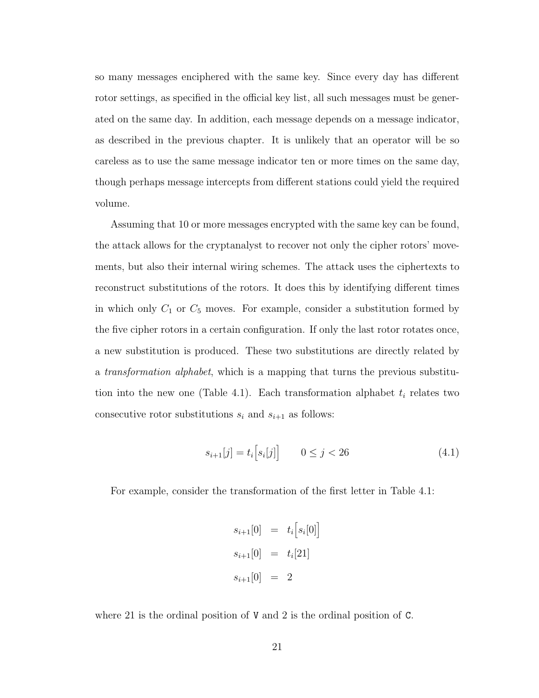so many messages enciphered with the same key. Since every day has different rotor settings, as specified in the official key list, all such messages must be generated on the same day. In addition, each message depends on a message indicator, as described in the previous chapter. It is unlikely that an operator will be so careless as to use the same message indicator ten or more times on the same day, though perhaps message intercepts from different stations could yield the required volume.

Assuming that 10 or more messages encrypted with the same key can be found, the attack allows for the cryptanalyst to recover not only the cipher rotors' movements, but also their internal wiring schemes. The attack uses the ciphertexts to reconstruct substitutions of the rotors. It does this by identifying different times in which only  $C_1$  or  $C_5$  moves. For example, consider a substitution formed by the five cipher rotors in a certain configuration. If only the last rotor rotates once, a new substitution is produced. These two substitutions are directly related by a transformation alphabet, which is a mapping that turns the previous substitution into the new one (Table 4.1). Each transformation alphabet  $t_i$  relates two consecutive rotor substitutions  $s_i$  and  $s_{i+1}$  as follows:

$$
s_{i+1}[j] = t_i [s_i[j]] \qquad 0 \le j < 26 \tag{4.1}
$$

For example, consider the transformation of the first letter in Table 4.1:

$$
s_{i+1}[0] = t_i [s_i[0]]
$$
  

$$
s_{i+1}[0] = t_i[21]
$$
  

$$
s_{i+1}[0] = 2
$$

where 21 is the ordinal position of V and 2 is the ordinal position of C.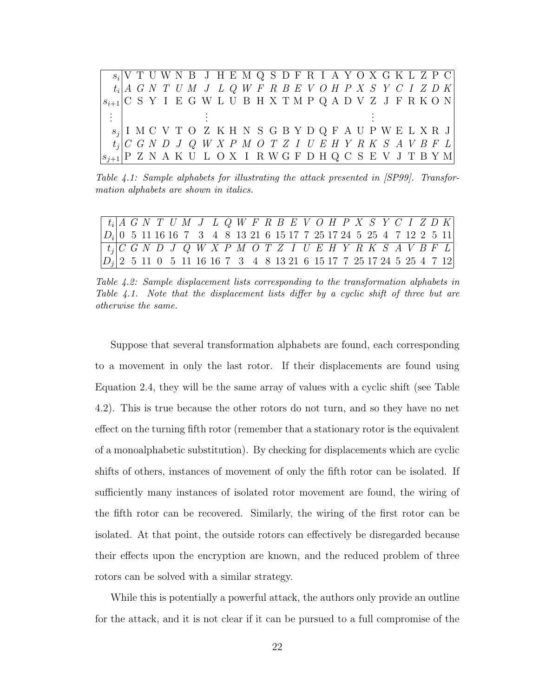s<sup>i</sup> V T U W N B J H E M Q S D F R I A Y O X G K L Z P C  $t_i | A\>\> G\>\> N\>\> T\>\> U\>\> M\>\> J\>\> L\>\> Q\>\> W\>\> F\>\> R\>\> B\>\> E\>\> V\>\> O\>\> H\>\> P\>\> X\>\> S\>\> Y\>\> C\>\> I\>\> Z\>\> D\>\> K\>\> D\>\> U\>\> D\>\> U\>\> D\>\> U\>\> D\>\> U\>\> D\>\> U\>\> D\>\> U\>\> D\>\> U\>\> D\>\> U\>\> D\>\> U\>\> D\>\> U\>\> D\>\> U\>\> D\>\> U\>\> D\>\> U\>\> D\>\> U\>\> D$  $s_{i+1}|\mathrm{C}\,$  S Y I E G W L U B H X T M P Q A D V Z J F R K O N . . . . . . . . .  $s_j |$ I M C V T O Z K H N S G B Y D Q F A U P W E L X R J  $C\begin{array}{l} \text{$G$} \text{$N$} \text{$D$} \text{$J$} \text{$Q$} \text{$W$} \text{$X$} \text{$P$} \text{$M$} \text{$O$} \text{$T$} \text{$Z$} \text{$I$} \text{$U$} \text{$E$} \text{$H$} \text{$Y$} \text{$R$} \text{$K$} \text{$S$} \text{$A$} \text{$V$} \text{$B$} \text{$F$} \text{$L$} \end{array}$ sj+1 P Z N A K U L O X I R W G F D H Q C S E V J T B Y M

Table 4.1: Sample alphabets for illustrating the attack presented in [SP99]. Transformation alphabets are shown in italics.

| $\mid t_i \mid A \ G \ N \ T \ U \ M \ J \ L \ Q \ W \ F \ R \ B \ E \ V \ O \ H \ P \ X \ S \ Y \ C \ I \ Z \ D \ K \$ |  |  |  |                                                                          |  |  |  |  |  |  |  |  |  |  |
|-------------------------------------------------------------------------------------------------------------------------|--|--|--|--------------------------------------------------------------------------|--|--|--|--|--|--|--|--|--|--|
| $ D_i $ 0 5 11 16 16 7 3 4 8 13 21 6 15 17 7 25 17 24 5 25 4 7 12 2 5 11                                                |  |  |  |                                                                          |  |  |  |  |  |  |  |  |  |  |
| $ t_i $ C G N D J Q W X P M O T Z I U E H Y R K S A $\sqrt{B F L}$                                                      |  |  |  |                                                                          |  |  |  |  |  |  |  |  |  |  |
|                                                                                                                         |  |  |  | $ D_i $ 2 5 11 0 5 11 16 16 7 3 4 8 13 21 6 15 17 7 25 17 24 5 25 4 7 12 |  |  |  |  |  |  |  |  |  |  |

Table 4.2: Sample displacement lists corresponding to the transformation alphabets in Table 4.1. Note that the displacement lists differ by a cyclic shift of three but are otherwise the same.

Suppose that several transformation alphabets are found, each corresponding to a movement in only the last rotor. If their displacements are found using Equation 2.4, they will be the same array of values with a cyclic shift (see Table 4.2). This is true because the other rotors do not turn, and so they have no net effect on the turning fifth rotor (remember that a stationary rotor is the equivalent of a monoalphabetic substitution). By checking for displacements which are cyclic shifts of others, instances of movement of only the fifth rotor can be isolated. If sufficiently many instances of isolated rotor movement are found, the wiring of the fifth rotor can be recovered. Similarly, the wiring of the first rotor can be isolated. At that point, the outside rotors can effectively be disregarded because their effects upon the encryption are known, and the reduced problem of three rotors can be solved with a similar strategy.

While this is potentially a powerful attack, the authors only provide an outline for the attack, and it is not clear if it can be pursued to a full compromise of the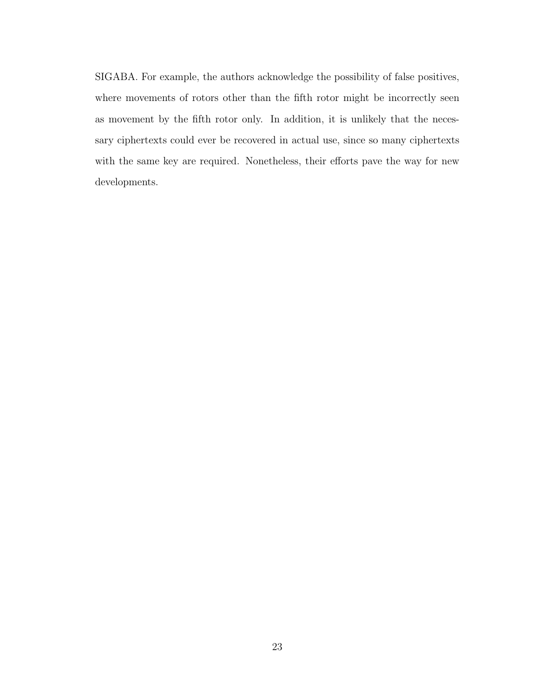SIGABA. For example, the authors acknowledge the possibility of false positives, where movements of rotors other than the fifth rotor might be incorrectly seen as movement by the fifth rotor only. In addition, it is unlikely that the necessary ciphertexts could ever be recovered in actual use, since so many ciphertexts with the same key are required. Nonetheless, their efforts pave the way for new developments.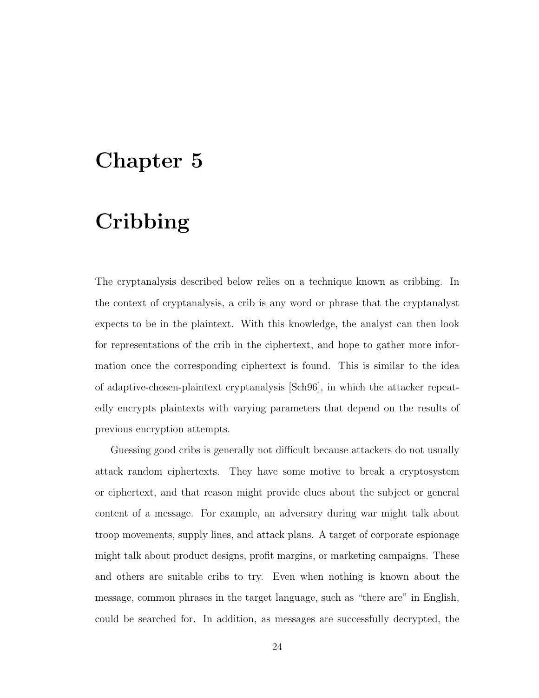## Chapter 5

## Cribbing

The cryptanalysis described below relies on a technique known as cribbing. In the context of cryptanalysis, a crib is any word or phrase that the cryptanalyst expects to be in the plaintext. With this knowledge, the analyst can then look for representations of the crib in the ciphertext, and hope to gather more information once the corresponding ciphertext is found. This is similar to the idea of adaptive-chosen-plaintext cryptanalysis [Sch96], in which the attacker repeatedly encrypts plaintexts with varying parameters that depend on the results of previous encryption attempts.

Guessing good cribs is generally not difficult because attackers do not usually attack random ciphertexts. They have some motive to break a cryptosystem or ciphertext, and that reason might provide clues about the subject or general content of a message. For example, an adversary during war might talk about troop movements, supply lines, and attack plans. A target of corporate espionage might talk about product designs, profit margins, or marketing campaigns. These and others are suitable cribs to try. Even when nothing is known about the message, common phrases in the target language, such as "there are" in English, could be searched for. In addition, as messages are successfully decrypted, the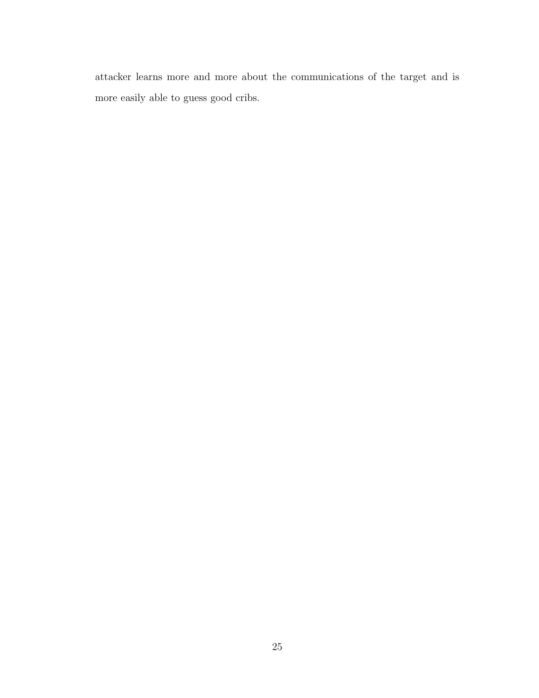attacker learns more and more about the communications of the target and is more easily able to guess good cribs.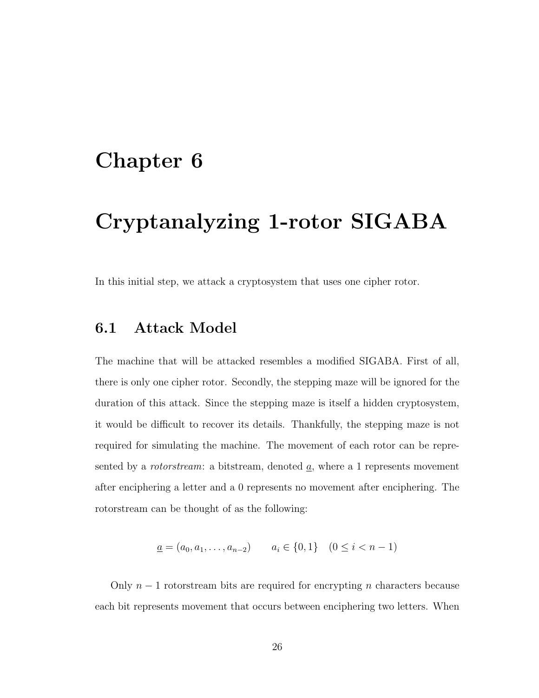## Chapter 6

## Cryptanalyzing 1-rotor SIGABA

In this initial step, we attack a cryptosystem that uses one cipher rotor.

### 6.1 Attack Model

The machine that will be attacked resembles a modified SIGABA. First of all, there is only one cipher rotor. Secondly, the stepping maze will be ignored for the duration of this attack. Since the stepping maze is itself a hidden cryptosystem, it would be difficult to recover its details. Thankfully, the stepping maze is not required for simulating the machine. The movement of each rotor can be represented by a *rotorstream*: a bitstream, denoted  $\underline{a}$ , where a 1 represents movement after enciphering a letter and a 0 represents no movement after enciphering. The rotorstream can be thought of as the following:

$$
\underline{a} = (a_0, a_1, \dots, a_{n-2}) \qquad a_i \in \{0, 1\} \quad (0 \le i < n-1)
$$

Only  $n-1$  rotorstream bits are required for encrypting n characters because each bit represents movement that occurs between enciphering two letters. When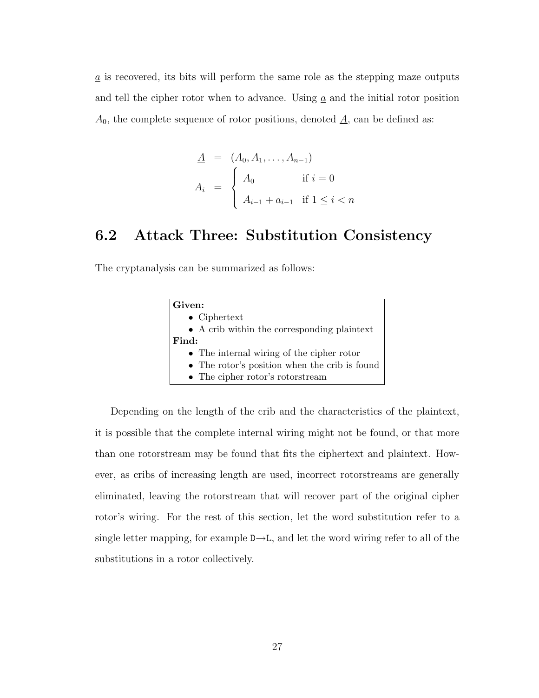$\underline{a}$  is recovered, its bits will perform the same role as the stepping maze outputs and tell the cipher rotor when to advance. Using  $a$  and the initial rotor position  $A_0$ , the complete sequence of rotor positions, denoted  $\underline{A}$ , can be defined as:

$$
\underline{A} = (A_0, A_1, \dots, A_{n-1})
$$
\n
$$
A_i = \begin{cases} A_0 & \text{if } i = 0 \\ A_{i-1} + a_{i-1} & \text{if } 1 \le i < n \end{cases}
$$

## 6.2 Attack Three: Substitution Consistency

The cryptanalysis can be summarized as follows:

| Given:                                        |
|-----------------------------------------------|
| $\bullet$ Ciphertext                          |
| • A crib within the corresponding plaintext   |
| Find:                                         |
| • The internal wiring of the cipher rotor     |
| • The rotor's position when the crib is found |
| $\bullet$ The cipher rotor's rotorstream      |

Depending on the length of the crib and the characteristics of the plaintext, it is possible that the complete internal wiring might not be found, or that more than one rotorstream may be found that fits the ciphertext and plaintext. However, as cribs of increasing length are used, incorrect rotorstreams are generally eliminated, leaving the rotorstream that will recover part of the original cipher rotor's wiring. For the rest of this section, let the word substitution refer to a single letter mapping, for example  $D\rightarrow L$ , and let the word wiring refer to all of the substitutions in a rotor collectively.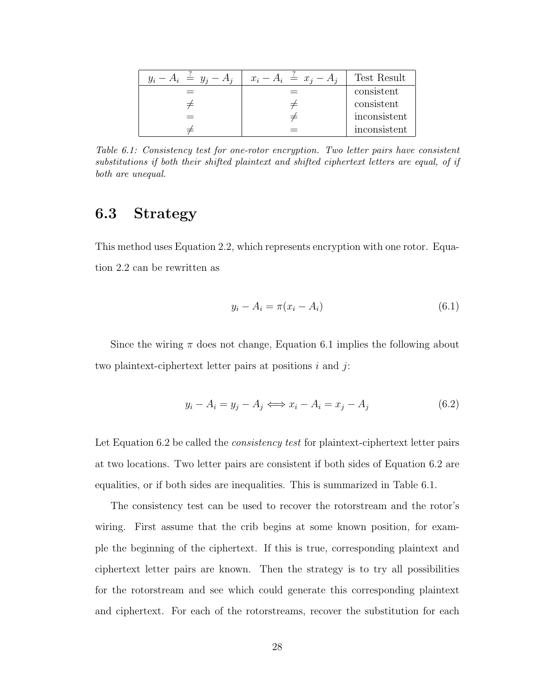| $y_i - A_i \doteq y_i - A_i$ | $x_i - A_i \stackrel{\scriptscriptstyle f}{=} x_i - A_i$ | Test Result  |
|------------------------------|----------------------------------------------------------|--------------|
|                              |                                                          | consistent   |
|                              |                                                          | consistent   |
|                              |                                                          | inconsistent |
|                              |                                                          | inconsistent |

Table 6.1: Consistency test for one-rotor encryption. Two letter pairs have consistent substitutions if both their shifted plaintext and shifted ciphertext letters are equal, of if both are unequal.

## 6.3 Strategy

This method uses Equation 2.2, which represents encryption with one rotor. Equation 2.2 can be rewritten as

$$
y_i - A_i = \pi (x_i - A_i) \tag{6.1}
$$

Since the wiring  $\pi$  does not change, Equation 6.1 implies the following about two plaintext-ciphertext letter pairs at positions  $i$  and  $j$ :

$$
y_i - A_i = y_j - A_j \Longleftrightarrow x_i - A_i = x_j - A_j \tag{6.2}
$$

Let Equation 6.2 be called the *consistency test* for plaintext-ciphertext letter pairs at two locations. Two letter pairs are consistent if both sides of Equation 6.2 are equalities, or if both sides are inequalities. This is summarized in Table 6.1.

The consistency test can be used to recover the rotorstream and the rotor's wiring. First assume that the crib begins at some known position, for example the beginning of the ciphertext. If this is true, corresponding plaintext and ciphertext letter pairs are known. Then the strategy is to try all possibilities for the rotorstream and see which could generate this corresponding plaintext and ciphertext. For each of the rotorstreams, recover the substitution for each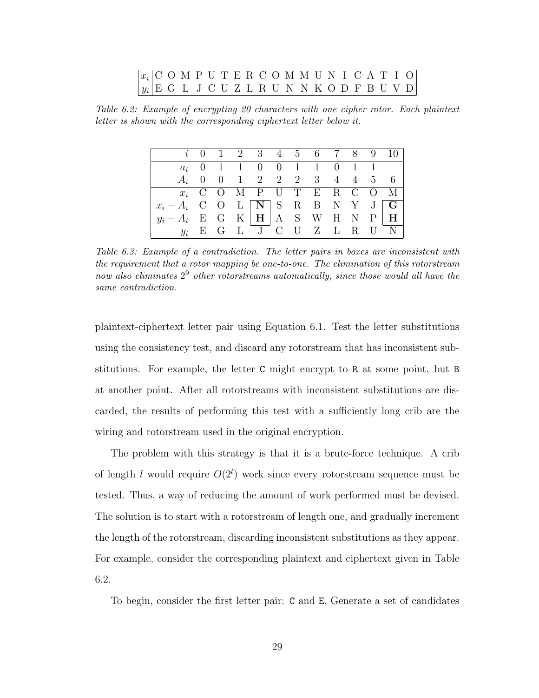|  | $\lceil x_i \rceil$ COMPUTERCOMMUNICATIO |  |  |  |  |  |  |  |  |  |
|--|------------------------------------------|--|--|--|--|--|--|--|--|--|
|  | $ y_i $ EGLJCUZLRUNNKODFBUVD             |  |  |  |  |  |  |  |  |  |

Table 6.2: Example of encrypting 20 characters with one cipher rotor. Each plaintext letter is shown with the corresponding ciphertext letter below it.

|                                                                                          |  |  |  | $i \begin{array}{ccccccc} 0 & 1 & 2 & 3 & 4 & 5 & 6 & 7 & 8 & 9 & 10 \end{array}$ |  |  |
|------------------------------------------------------------------------------------------|--|--|--|-----------------------------------------------------------------------------------|--|--|
|                                                                                          |  |  |  | $a_i$   0   1   0   0   1   0   1   1                                             |  |  |
|                                                                                          |  |  |  | $A_i$ 0 0 1 2 2 2 3 4 4 5 6                                                       |  |  |
| $x_i \mid C$ O M P U T E R C O M                                                         |  |  |  |                                                                                   |  |  |
| $x_i - A_i$ C O L N S R B N Y J G                                                        |  |  |  |                                                                                   |  |  |
| $y_i - A_i \parallel \textbf{E}$ G K $\parallel$ H $\parallel$ A S W H N P $\parallel$ H |  |  |  |                                                                                   |  |  |
|                                                                                          |  |  |  | $y_i \vert E \ G \ L \overline{J} \ C \ U \ Z \ L \ R \ U \overline{N}$           |  |  |

Table 6.3: Example of a contradiction. The letter pairs in boxes are inconsistent with the requirement that a rotor mapping be one-to-one. The elimination of this rotorstream now also eliminates  $2^9$  other rotorstreams automatically, since those would all have the same contradiction.

plaintext-ciphertext letter pair using Equation 6.1. Test the letter substitutions using the consistency test, and discard any rotorstream that has inconsistent substitutions. For example, the letter C might encrypt to R at some point, but B at another point. After all rotorstreams with inconsistent substitutions are discarded, the results of performing this test with a sufficiently long crib are the wiring and rotorstream used in the original encryption.

The problem with this strategy is that it is a brute-force technique. A crib of length l would require  $O(2^l)$  work since every rotorstream sequence must be tested. Thus, a way of reducing the amount of work performed must be devised. The solution is to start with a rotorstream of length one, and gradually increment the length of the rotorstream, discarding inconsistent substitutions as they appear. For example, consider the corresponding plaintext and ciphertext given in Table 6.2.

To begin, consider the first letter pair: C and E. Generate a set of candidates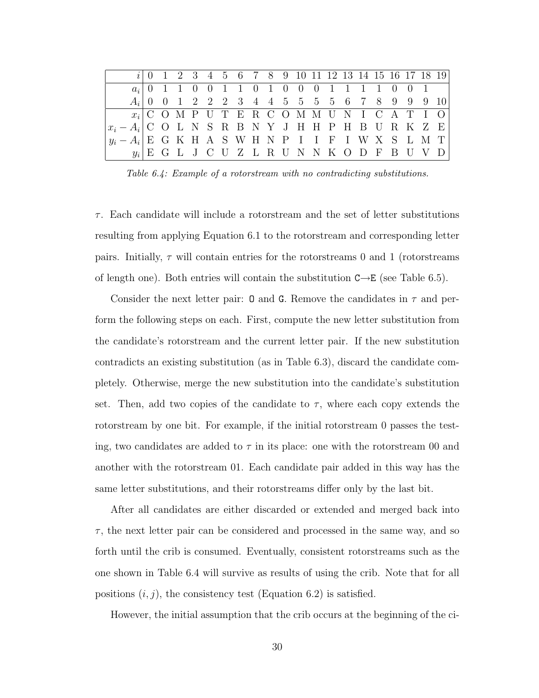|                                          |  |  |  | $i \begin{pmatrix} 0 & 1 & 2 & 3 & 4 & 5 & 6 & 7 & 8 & 9 & 10 & 11 & 12 & 13 & 14 & 15 & 16 & 17 & 18 & 19 \end{pmatrix}$ |  |  |  |  |  |  |  |
|------------------------------------------|--|--|--|---------------------------------------------------------------------------------------------------------------------------|--|--|--|--|--|--|--|
|                                          |  |  |  | $a_i   0 1 1 0 0 1 1 0 1 0 0 0 1 1 1 1 0 0 1$                                                                             |  |  |  |  |  |  |  |
|                                          |  |  |  | $A_i$ 0 0 1 2 2 2 3 4 4 5 5 5 5 6 7 8 9 9 9 10                                                                            |  |  |  |  |  |  |  |
|                                          |  |  |  | $x_i   C O M P U T E R C O M M U N I C A T I O$                                                                           |  |  |  |  |  |  |  |
| $\big x_i-A_i\big $ COLNSRBNYJHHPHBURKZE |  |  |  |                                                                                                                           |  |  |  |  |  |  |  |
| $ y_i - A_i $ EGKHASWHNPIIFIWXSLMT       |  |  |  |                                                                                                                           |  |  |  |  |  |  |  |
|                                          |  |  |  | $y_i   E G L J C U Z L R U N N K O D F B U V D$                                                                           |  |  |  |  |  |  |  |

Table 6.4: Example of a rotorstream with no contradicting substitutions.

 $\tau$ . Each candidate will include a rotorstream and the set of letter substitutions resulting from applying Equation 6.1 to the rotorstream and corresponding letter pairs. Initially,  $\tau$  will contain entries for the rotorstreams 0 and 1 (rotorstreams of length one). Both entries will contain the substitution  $C \rightarrow E$  (see Table 6.5).

Consider the next letter pair: **O** and **G**. Remove the candidates in  $\tau$  and perform the following steps on each. First, compute the new letter substitution from the candidate's rotorstream and the current letter pair. If the new substitution contradicts an existing substitution (as in Table 6.3), discard the candidate completely. Otherwise, merge the new substitution into the candidate's substitution set. Then, add two copies of the candidate to  $\tau$ , where each copy extends the rotorstream by one bit. For example, if the initial rotorstream 0 passes the testing, two candidates are added to  $\tau$  in its place: one with the rotorstream 00 and another with the rotorstream 01. Each candidate pair added in this way has the same letter substitutions, and their rotorstreams differ only by the last bit.

After all candidates are either discarded or extended and merged back into  $\tau$ , the next letter pair can be considered and processed in the same way, and so forth until the crib is consumed. Eventually, consistent rotorstreams such as the one shown in Table 6.4 will survive as results of using the crib. Note that for all positions  $(i, j)$ , the consistency test (Equation 6.2) is satisfied.

However, the initial assumption that the crib occurs at the beginning of the ci-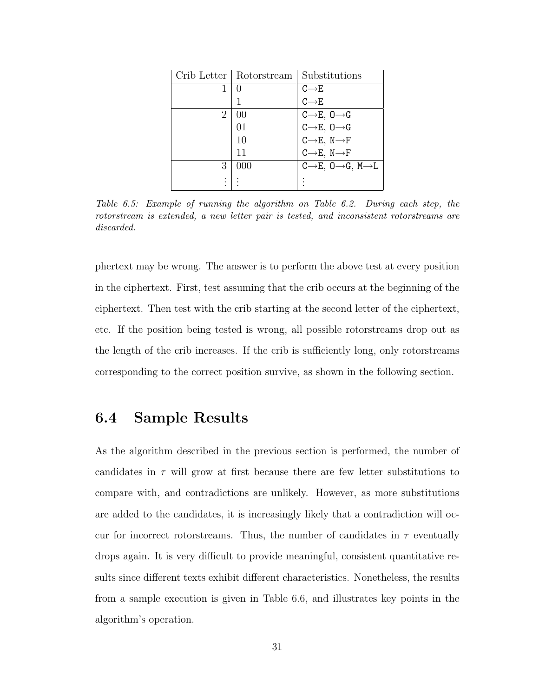|   | Crib Letter   Rotorstream | Substitutions                                       |
|---|---------------------------|-----------------------------------------------------|
| 1 | 0                         | $C{\longrightarrow} E$                              |
|   |                           | $C\rightarrow E$                                    |
| 2 | 0 <sup>0</sup>            | $C \rightarrow E, 0 \rightarrow G$                  |
|   | 01                        | $C \rightarrow E, 0 \rightarrow G$                  |
|   | 10                        | $C \rightarrow E, N \rightarrow F$                  |
|   | 11                        | $C \rightarrow E, N \rightarrow F$                  |
| 3 | 000                       | $C \rightarrow E, 0 \rightarrow G, M \rightarrow L$ |
|   |                           |                                                     |

Table 6.5: Example of running the algorithm on Table 6.2. During each step, the rotorstream is extended, a new letter pair is tested, and inconsistent rotorstreams are discarded.

phertext may be wrong. The answer is to perform the above test at every position in the ciphertext. First, test assuming that the crib occurs at the beginning of the ciphertext. Then test with the crib starting at the second letter of the ciphertext, etc. If the position being tested is wrong, all possible rotorstreams drop out as the length of the crib increases. If the crib is sufficiently long, only rotorstreams corresponding to the correct position survive, as shown in the following section.

### 6.4 Sample Results

As the algorithm described in the previous section is performed, the number of candidates in  $\tau$  will grow at first because there are few letter substitutions to compare with, and contradictions are unlikely. However, as more substitutions are added to the candidates, it is increasingly likely that a contradiction will occur for incorrect rotorstreams. Thus, the number of candidates in  $\tau$  eventually drops again. It is very difficult to provide meaningful, consistent quantitative results since different texts exhibit different characteristics. Nonetheless, the results from a sample execution is given in Table 6.6, and illustrates key points in the algorithm's operation.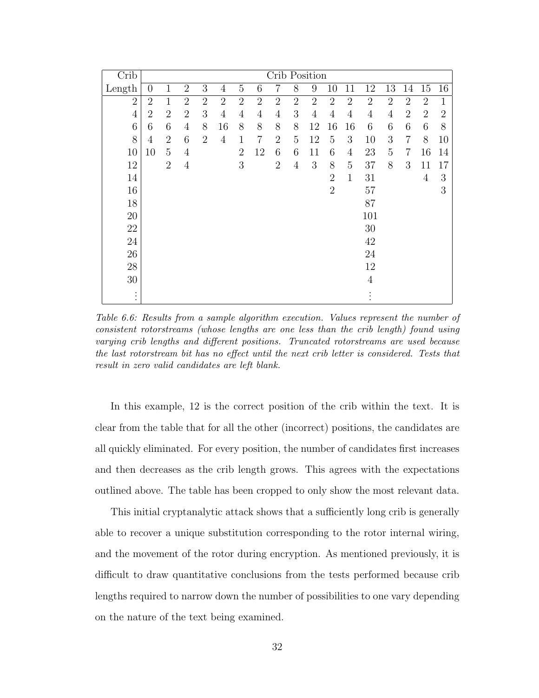| Crib                        |                |                |                |                |                |                |                |                |                | Crib Position  |                |                |                        |                |                |                |                |
|-----------------------------|----------------|----------------|----------------|----------------|----------------|----------------|----------------|----------------|----------------|----------------|----------------|----------------|------------------------|----------------|----------------|----------------|----------------|
| Length                      | $\overline{0}$ | $\mathbf 1$    | $\overline{2}$ | 3              | $\overline{4}$ | $\overline{5}$ | 6              | 7              | 8              | 9              | 10             | 11             | 12                     | 13             | 14             | 15             | 16             |
| $\overline{2}$              | $\overline{2}$ | $\mathbf 1$    | $\overline{2}$ | $\overline{2}$ | $\overline{2}$ | $\overline{2}$ | $\overline{2}$ | $\overline{2}$ | $\overline{2}$ | $\overline{2}$ | $\overline{2}$ | $\overline{2}$ | $\overline{2}$         | $\overline{2}$ | $\overline{2}$ | $\overline{2}$ | $\mathbf{1}$   |
| $\overline{4}$              | $\overline{2}$ | $\overline{2}$ | $\overline{2}$ | 3              | $\overline{4}$ | $\overline{4}$ | $\overline{4}$ | $\overline{4}$ | 3              | 4              | $\overline{4}$ | $\overline{4}$ | $\overline{4}$         | 4              | $\overline{2}$ | $\overline{2}$ | $\overline{2}$ |
| 6                           | 6              | 6              | $\overline{4}$ | 8              | 16             | 8              | 8              | 8              | 8              | 12             | 16             | 16             | 6                      | 6              | 6              | 6              | 8              |
| 8                           | 4              | $\overline{2}$ | 6              | $\overline{2}$ | $\overline{4}$ | 1              | $\overline{7}$ | $\overline{2}$ | 5              | 12             | 5              | 3              | 10                     | 3              | $\overline{7}$ | 8              | 10             |
| 10                          | 10             | 5              | $\overline{4}$ |                |                | $\overline{2}$ | 12             | 6              | 6              | 11             | 6              | $\overline{4}$ | 23                     | 5              | $\overline{7}$ | 16             | 14             |
| 12                          |                | $\overline{2}$ | $\overline{4}$ |                |                | 3              |                | $\overline{2}$ | $\overline{4}$ | 3              | 8              | 5              | 37                     | 8              | 3              | 11             | 17             |
| 14                          |                |                |                |                |                |                |                |                |                |                | $\overline{2}$ | $\mathbf{1}$   | 31                     |                |                | 4              | 3              |
| 16                          |                |                |                |                |                |                |                |                |                |                | $\overline{2}$ |                | 57                     |                |                |                | 3              |
| 18                          |                |                |                |                |                |                |                |                |                |                |                |                | 87                     |                |                |                |                |
| $20\,$                      |                |                |                |                |                |                |                |                |                |                |                |                | 101                    |                |                |                |                |
| $22\,$                      |                |                |                |                |                |                |                |                |                |                |                |                | 30                     |                |                |                |                |
| 24                          |                |                |                |                |                |                |                |                |                |                |                |                | 42                     |                |                |                |                |
| $26\,$                      |                |                |                |                |                |                |                |                |                |                |                |                | $24\,$                 |                |                |                |                |
| $28\,$                      |                |                |                |                |                |                |                |                |                |                |                |                | $12\,$                 |                |                |                |                |
| $30\,$                      |                |                |                |                |                |                |                |                |                |                |                |                | $\overline{4}$         |                |                |                |                |
| $\bullet$<br>٠<br>$\bullet$ |                |                |                |                |                |                |                |                |                |                |                |                | $\bullet$<br>$\bullet$ |                |                |                |                |

Table 6.6: Results from a sample algorithm execution. Values represent the number of consistent rotorstreams (whose lengths are one less than the crib length) found using varying crib lengths and different positions. Truncated rotorstreams are used because the last rotorstream bit has no effect until the next crib letter is considered. Tests that result in zero valid candidates are left blank.

In this example, 12 is the correct position of the crib within the text. It is clear from the table that for all the other (incorrect) positions, the candidates are all quickly eliminated. For every position, the number of candidates first increases and then decreases as the crib length grows. This agrees with the expectations outlined above. The table has been cropped to only show the most relevant data.

This initial cryptanalytic attack shows that a sufficiently long crib is generally able to recover a unique substitution corresponding to the rotor internal wiring, and the movement of the rotor during encryption. As mentioned previously, it is difficult to draw quantitative conclusions from the tests performed because crib lengths required to narrow down the number of possibilities to one vary depending on the nature of the text being examined.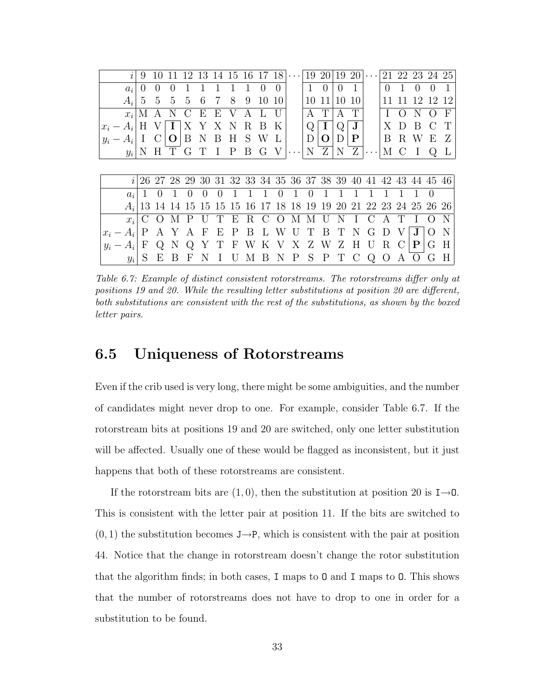|       | $\mathcal{L}$ | 9                |                  |              | 12           | 13           | 14 15    |              | -16         |                  | 18             | .                                                              | 19       |          | 19           | 20           | .                    | 21     |               |             |                             | 22 23 24 25 |
|-------|---------------|------------------|------------------|--------------|--------------|--------------|----------|--------------|-------------|------------------|----------------|----------------------------------------------------------------|----------|----------|--------------|--------------|----------------------|--------|---------------|-------------|-----------------------------|-------------|
|       | $a_i$         | $\left( \right)$ | $\left( \right)$ |              |              |              |          |              |             | $\left( \right)$ |                |                                                                |          | $\Omega$ | $\mathbf{0}$ |              |                      | $\cup$ |               |             |                             |             |
|       | $A_i$         | 5                | $\frac{5}{2}$    | 5            | 5            | 6            |          | 8            | 9           | 10               | 10             |                                                                | 10       | 11       | 10           | 10           |                      |        |               | 19          | 12                          | 12          |
|       | $x_i$         |                  |                  |              |              | F,           | F,       |              |             |                  |                |                                                                |          | T        |              | T            |                      |        |               |             |                             | F           |
| $x_i$ | $- A_i$       | Η                |                  |              |              |              |          | $\mathbf N$  | $\mathbf R$ | B                | K              |                                                                |          |          |              | $J \mid$     |                      |        | $\Box$        | В           | $\mathcal{C}_{\mathcal{C}}$ | T           |
|       | $y_i - A_i$   | $\bf{I}$         | $\mathcal{C}$    | $\mathbf{O}$ | B            | $\mathbf N$  | B        | H            | S           | W                | $\mathbf{L}$   |                                                                | D        | O        | D            | $\mathbf{P}$ |                      | B      | R             | W           | E                           | Z           |
|       | $y_i$         | Ν                | H                |              | G            |              | $\bf{I}$ | $\mathbf{P}$ | B           | G                |                |                                                                | N        | Ζ        | N            | Z            | $\cdots$             | М      | $\mathcal{C}$ |             |                             |             |
|       |               |                  |                  |              |              |              |          |              |             |                  |                |                                                                |          |          |              |              |                      |        |               |             |                             |             |
|       |               |                  |                  |              |              |              |          |              |             |                  |                |                                                                |          |          |              |              |                      |        |               |             |                             |             |
|       | $\mathcal{L}$ |                  |                  |              |              |              |          |              |             |                  |                | 26 27 28 29 30 31 32 33 34 35 36 37 38 39 40 41 42 43 44 45 46 |          |          |              |              |                      |        |               |             |                             |             |
|       | $a_i$         |                  |                  |              |              |              | 0        |              |             |                  | $\overline{0}$ | 1                                                              | $\theta$ |          |              |              |                      |        |               |             | $\left( \right)$            |             |
|       | $A_i$         |                  |                  | 13 14 14     | -15          | 15           | 15       | 15           | 16          |                  |                | 17 18 18 19                                                    |          | 19       | 20           |              | 21 22 23 24 25 26 26 |        |               |             |                             |             |
|       | $x_i$         |                  |                  |              |              |              |          | Ε            | R           | $\mathcal{C}$    | $\overline{O}$ | М                                                              |          |          | N            |              |                      |        |               |             |                             |             |
|       | $x_i - A_i$   | P                | A                |              | $\mathsf{A}$ | $\mathbf{F}$ | Ε        | P            | Β           | $\mathbf{L}$     | W              | U                                                              |          | В        |              |              |                      |        |               |             |                             |             |
| $y_i$ | $-A_i$        | $\mathbf{F}$     | $\omega$         |              |              | Υ            |          | F            | W           |                  | K V            | X                                                              | Ζ        | W        | Ζ            | Η            |                      | R      |               | $\mathbf P$ | G                           | Н           |

Table 6.7: Example of distinct consistent rotorstreams. The rotorstreams differ only at positions 19 and 20. While the resulting letter substitutions at position 20 are different, both substitutions are consistent with the rest of the substitutions, as shown by the boxed letter pairs.

### 6.5 Uniqueness of Rotorstreams

Even if the crib used is very long, there might be some ambiguities, and the number of candidates might never drop to one. For example, consider Table 6.7. If the rotorstream bits at positions 19 and 20 are switched, only one letter substitution will be affected. Usually one of these would be flagged as inconsistent, but it just happens that both of these rotorstreams are consistent.

If the rotorstream bits are  $(1, 0)$ , then the substitution at position 20 is  $I\rightarrow 0$ . This is consistent with the letter pair at position 11. If the bits are switched to  $(0, 1)$  the substitution becomes J $\rightarrow$ P, which is consistent with the pair at position 44. Notice that the change in rotorstream doesn't change the rotor substitution that the algorithm finds; in both cases, I maps to O and I maps to O. This shows that the number of rotorstreams does not have to drop to one in order for a substitution to be found.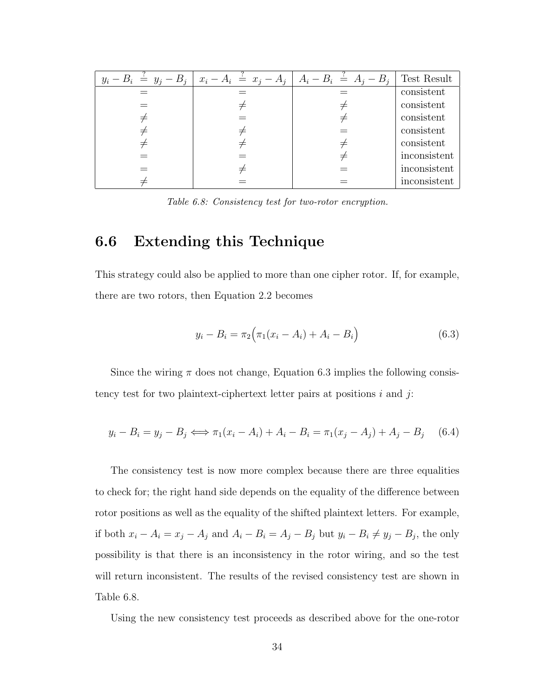| $y_i - B_i = y_j - B_j$ | $x_i - A_i \stackrel{\scriptscriptstyle{\perp}}{=} x_j - A_j \mid A_i - B_i \stackrel{\scriptscriptstyle{\perp}}{=} A_j - B_j$ | Test Result  |
|-------------------------|--------------------------------------------------------------------------------------------------------------------------------|--------------|
|                         |                                                                                                                                | consistent   |
|                         |                                                                                                                                | consistent   |
|                         |                                                                                                                                | consistent   |
|                         |                                                                                                                                | consistent   |
|                         |                                                                                                                                | consistent   |
|                         |                                                                                                                                | inconsistent |
|                         |                                                                                                                                | inconsistent |
|                         |                                                                                                                                | inconsistent |
|                         |                                                                                                                                |              |

Table 6.8: Consistency test for two-rotor encryption.

### 6.6 Extending this Technique

This strategy could also be applied to more than one cipher rotor. If, for example, there are two rotors, then Equation 2.2 becomes

$$
y_i - B_i = \pi_2 (\pi_1 (x_i - A_i) + A_i - B_i)
$$
 (6.3)

Since the wiring  $\pi$  does not change, Equation 6.3 implies the following consistency test for two plaintext-ciphertext letter pairs at positions  $i$  and  $j$ :

$$
y_i - B_i = y_j - B_j \iff \pi_1(x_i - A_i) + A_i - B_i = \pi_1(x_j - A_j) + A_j - B_j \tag{6.4}
$$

The consistency test is now more complex because there are three equalities to check for; the right hand side depends on the equality of the difference between rotor positions as well as the equality of the shifted plaintext letters. For example, if both  $x_i - A_i = x_j - A_j$  and  $A_i - B_i = A_j - B_j$  but  $y_i - B_i \neq y_j - B_j$ , the only possibility is that there is an inconsistency in the rotor wiring, and so the test will return inconsistent. The results of the revised consistency test are shown in Table 6.8.

Using the new consistency test proceeds as described above for the one-rotor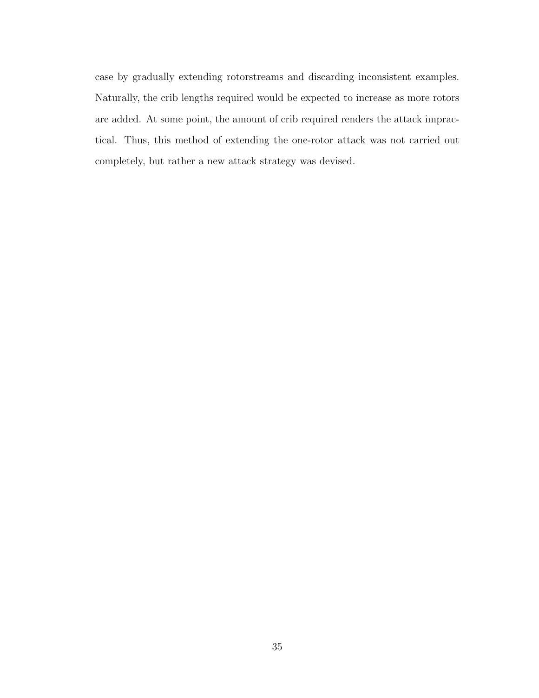case by gradually extending rotorstreams and discarding inconsistent examples. Naturally, the crib lengths required would be expected to increase as more rotors are added. At some point, the amount of crib required renders the attack impractical. Thus, this method of extending the one-rotor attack was not carried out completely, but rather a new attack strategy was devised.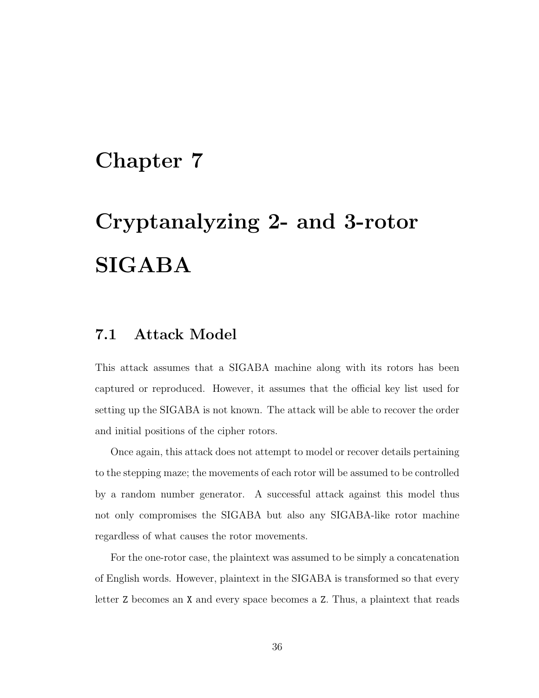## Chapter 7

# Cryptanalyzing 2- and 3-rotor SIGABA

### 7.1 Attack Model

This attack assumes that a SIGABA machine along with its rotors has been captured or reproduced. However, it assumes that the official key list used for setting up the SIGABA is not known. The attack will be able to recover the order and initial positions of the cipher rotors.

Once again, this attack does not attempt to model or recover details pertaining to the stepping maze; the movements of each rotor will be assumed to be controlled by a random number generator. A successful attack against this model thus not only compromises the SIGABA but also any SIGABA-like rotor machine regardless of what causes the rotor movements.

For the one-rotor case, the plaintext was assumed to be simply a concatenation of English words. However, plaintext in the SIGABA is transformed so that every letter Z becomes an X and every space becomes a Z. Thus, a plaintext that reads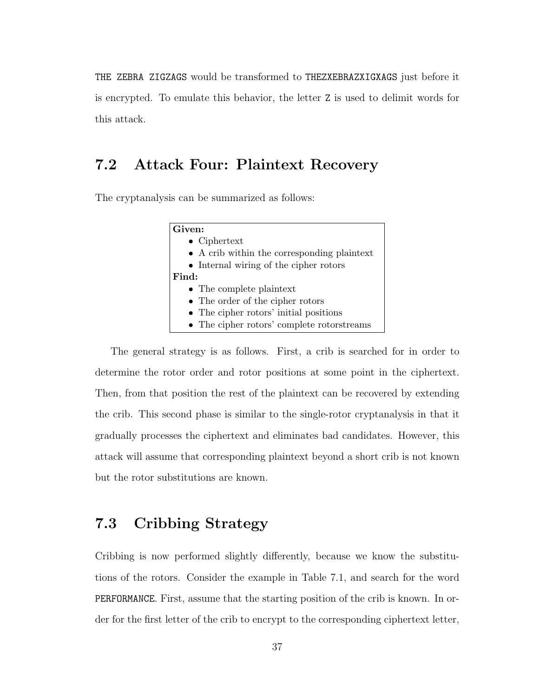THE ZEBRA ZIGZAGS would be transformed to THEZXEBRAZXIGXAGS just before it is encrypted. To emulate this behavior, the letter Z is used to delimit words for this attack.

### 7.2 Attack Four: Plaintext Recovery

The cryptanalysis can be summarized as follows:

| Given:                                      |
|---------------------------------------------|
| $\bullet$ Ciphertext                        |
| • A crib within the corresponding plaintext |
| • Internal wiring of the cipher rotors      |
| Find:                                       |
| • The complete plaintext                    |
| • The order of the cipher rotors            |
| • The cipher rotors' initial positions      |
| • The cipher rotors' complete rotorstreams  |

The general strategy is as follows. First, a crib is searched for in order to determine the rotor order and rotor positions at some point in the ciphertext. Then, from that position the rest of the plaintext can be recovered by extending the crib. This second phase is similar to the single-rotor cryptanalysis in that it gradually processes the ciphertext and eliminates bad candidates. However, this attack will assume that corresponding plaintext beyond a short crib is not known but the rotor substitutions are known.

## 7.3 Cribbing Strategy

Cribbing is now performed slightly differently, because we know the substitutions of the rotors. Consider the example in Table 7.1, and search for the word PERFORMANCE. First, assume that the starting position of the crib is known. In order for the first letter of the crib to encrypt to the corresponding ciphertext letter,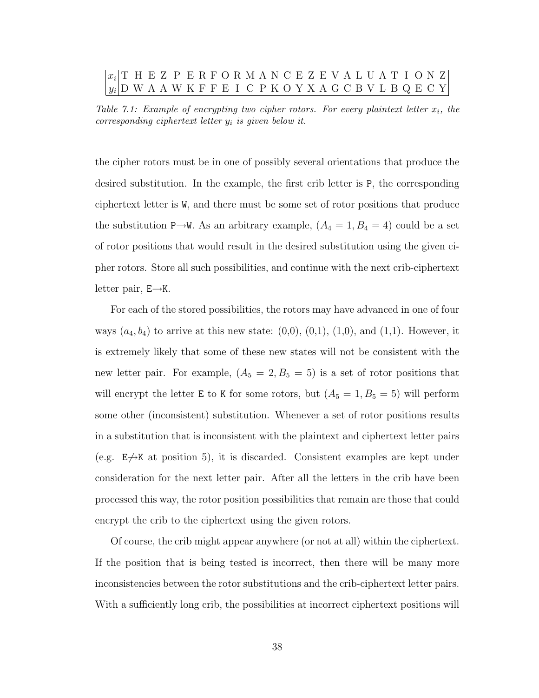#### $x_i | T$  H E Z P E R F O R M A N C E Z E V A L U A T I O N Z  $y_i | \text{D} \text{ W} \text{ A} \text{ A} \text{ W} \text{ K} \text{ F} \text{ F} \text{ E} \text{ I} \text{ C} \text{ P} \text{ K} \text{ O} \text{ Y} \text{ X} \text{ A} \text{ G} \text{ C} \text{ B} \text{ V} \text{ L} \text{ B} \text{ Q} \text{ E} \text{ C} \text{ Y}$

Table 7.1: Example of encrypting two cipher rotors. For every plaintext letter  $x_i$ , the corresponding ciphertext letter  $y_i$  is given below it.

the cipher rotors must be in one of possibly several orientations that produce the desired substitution. In the example, the first crib letter is P, the corresponding ciphertext letter is W, and there must be some set of rotor positions that produce the substitution P→W. As an arbitrary example,  $(A_4 = 1, B_4 = 4)$  could be a set of rotor positions that would result in the desired substitution using the given cipher rotors. Store all such possibilities, and continue with the next crib-ciphertext letter pair,  $E \rightarrow K$ .

For each of the stored possibilities, the rotors may have advanced in one of four ways  $(a_4, b_4)$  to arrive at this new state:  $(0,0), (0,1), (1,0),$  and  $(1,1)$ . However, it is extremely likely that some of these new states will not be consistent with the new letter pair. For example,  $(A_5 = 2, B_5 = 5)$  is a set of rotor positions that will encrypt the letter **E** to K for some rotors, but  $(A_5 = 1, B_5 = 5)$  will perform some other (inconsistent) substitution. Whenever a set of rotor positions results in a substitution that is inconsistent with the plaintext and ciphertext letter pairs (e.g.  $E\rightarrow K$  at position 5), it is discarded. Consistent examples are kept under consideration for the next letter pair. After all the letters in the crib have been processed this way, the rotor position possibilities that remain are those that could encrypt the crib to the ciphertext using the given rotors.

Of course, the crib might appear anywhere (or not at all) within the ciphertext. If the position that is being tested is incorrect, then there will be many more inconsistencies between the rotor substitutions and the crib-ciphertext letter pairs. With a sufficiently long crib, the possibilities at incorrect ciphertext positions will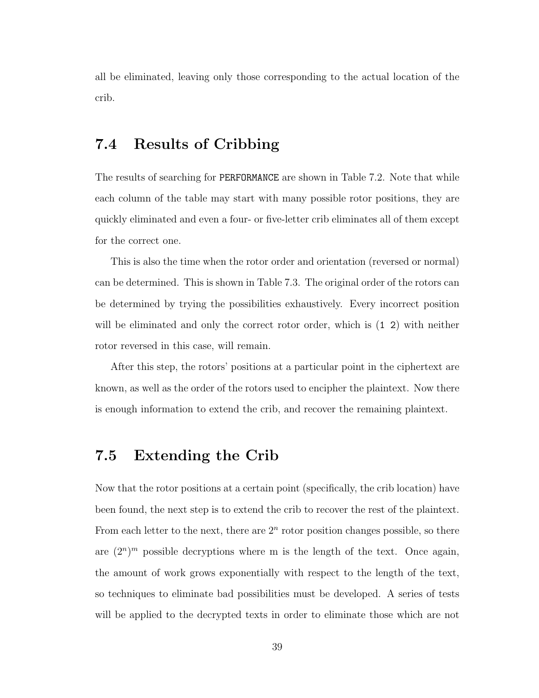all be eliminated, leaving only those corresponding to the actual location of the crib.

### 7.4 Results of Cribbing

The results of searching for PERFORMANCE are shown in Table 7.2. Note that while each column of the table may start with many possible rotor positions, they are quickly eliminated and even a four- or five-letter crib eliminates all of them except for the correct one.

This is also the time when the rotor order and orientation (reversed or normal) can be determined. This is shown in Table 7.3. The original order of the rotors can be determined by trying the possibilities exhaustively. Every incorrect position will be eliminated and only the correct rotor order, which is (1 2) with neither rotor reversed in this case, will remain.

After this step, the rotors' positions at a particular point in the ciphertext are known, as well as the order of the rotors used to encipher the plaintext. Now there is enough information to extend the crib, and recover the remaining plaintext.

## 7.5 Extending the Crib

Now that the rotor positions at a certain point (specifically, the crib location) have been found, the next step is to extend the crib to recover the rest of the plaintext. From each letter to the next, there are  $2<sup>n</sup>$  rotor position changes possible, so there are  $(2^n)^m$  possible decryptions where m is the length of the text. Once again, the amount of work grows exponentially with respect to the length of the text, so techniques to eliminate bad possibilities must be developed. A series of tests will be applied to the decrypted texts in order to eliminate those which are not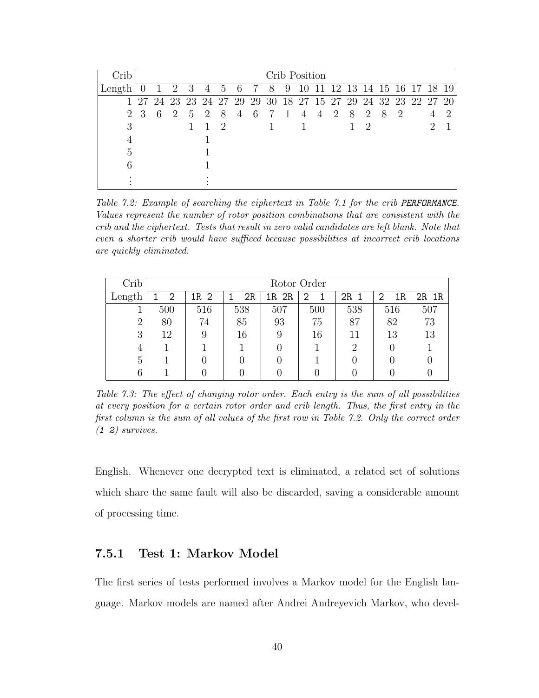| Crib           |    |     |                |             |                |     |   |   |                                                       |                | Crib Position  |                |   |    |                |    |    |                         |               |
|----------------|----|-----|----------------|-------------|----------------|-----|---|---|-------------------------------------------------------|----------------|----------------|----------------|---|----|----------------|----|----|-------------------------|---------------|
| Length         |    |     | $\overline{2}$ | 3           | $\overline{4}$ | 5   | 6 | 7 | - 8                                                   | 9              | 10             | 11             |   |    |                |    |    | 12 13 14 15 16 17 18 19 |               |
|                | 27 | -24 |                |             |                |     |   |   | 23 23 24 27 29 29 30 18 27 15 27 29 24 32 23 22 27 20 |                |                |                |   |    |                |    |    |                         |               |
| $\overline{2}$ |    | 6   | -2             | $5^{\circ}$ | - 2            | - 8 | 4 | 6 | 7                                                     | $\overline{1}$ | $\overline{4}$ | $\overline{4}$ | 2 | -8 | $\overline{2}$ | -8 | -2 |                         | $\mathcal{D}$ |
| 3              |    |     |                |             |                | 2   |   |   |                                                       |                |                |                |   |    | 2              |    |    |                         |               |
| 4              |    |     |                |             |                |     |   |   |                                                       |                |                |                |   |    |                |    |    |                         |               |
| 5              |    |     |                |             |                |     |   |   |                                                       |                |                |                |   |    |                |    |    |                         |               |
| 6              |    |     |                |             |                |     |   |   |                                                       |                |                |                |   |    |                |    |    |                         |               |
| ٠<br>٠         |    |     |                |             |                |     |   |   |                                                       |                |                |                |   |    |                |    |    |                         |               |
| $\bullet$      |    |     |                |             |                |     |   |   |                                                       |                |                |                |   |    |                |    |    |                         |               |

Table 7.2: Example of searching the ciphertext in Table 7.1 for the crib PERFORMANCE. Values represent the number of rotor position combinations that are consistent with the crib and the ciphertext. Tests that result in zero valid candidates are left blank. Note that even a shorter crib would have sufficed because possibilities at incorrect crib locations are quickly eliminated.

| Crib           |     |      |     |       | Rotor Order |          |         |       |
|----------------|-----|------|-----|-------|-------------|----------|---------|-------|
| Length         | 2   | 1R 2 | 2R  | 1R 2R | 2<br>1      | 2R<br>-1 | 1R<br>2 | 2R 1R |
|                | 500 | 516  | 538 | 507   | 500         | 538      | 516     | 507   |
| $\overline{2}$ | 80  | 74   | 85  | 93    | 75          | 87       | 82      | 73    |
| 3              | 12  | 9    | 16  | 9     | 16          | 11       | 13      | 13    |
| 4              |     |      |     |       |             | 2        |         |       |
| 5              |     |      |     |       |             |          |         |       |
| 6              |     |      |     |       |             |          |         |       |

Table 7.3: The effect of changing rotor order. Each entry is the sum of all possibilities at every position for a certain rotor order and crib length. Thus, the first entry in the first column is the sum of all values of the first row in Table 7.2. Only the correct order  $(1 2)$  survives.

English. Whenever one decrypted text is eliminated, a related set of solutions which share the same fault will also be discarded, saving a considerable amount of processing time.

#### 7.5.1 Test 1: Markov Model

The first series of tests performed involves a Markov model for the English language. Markov models are named after Andrei Andreyevich Markov, who devel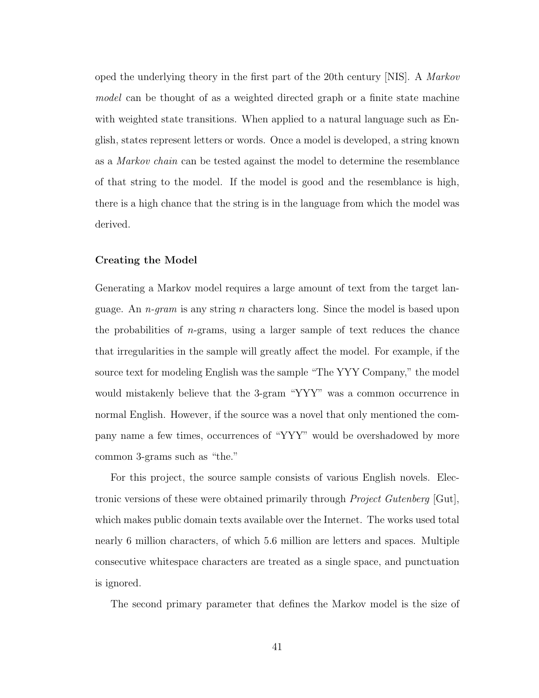oped the underlying theory in the first part of the 20th century [NIS]. A Markov model can be thought of as a weighted directed graph or a finite state machine with weighted state transitions. When applied to a natural language such as English, states represent letters or words. Once a model is developed, a string known as a Markov chain can be tested against the model to determine the resemblance of that string to the model. If the model is good and the resemblance is high, there is a high chance that the string is in the language from which the model was derived.

#### Creating the Model

Generating a Markov model requires a large amount of text from the target language. An  $n$ -gram is any string n characters long. Since the model is based upon the probabilities of  $n$ -grams, using a larger sample of text reduces the chance that irregularities in the sample will greatly affect the model. For example, if the source text for modeling English was the sample "The YYY Company," the model would mistakenly believe that the 3-gram "YYY" was a common occurrence in normal English. However, if the source was a novel that only mentioned the company name a few times, occurrences of "YYY" would be overshadowed by more common 3-grams such as "the."

For this project, the source sample consists of various English novels. Electronic versions of these were obtained primarily through *Project Gutenberg* [Gut], which makes public domain texts available over the Internet. The works used total nearly 6 million characters, of which 5.6 million are letters and spaces. Multiple consecutive whitespace characters are treated as a single space, and punctuation is ignored.

The second primary parameter that defines the Markov model is the size of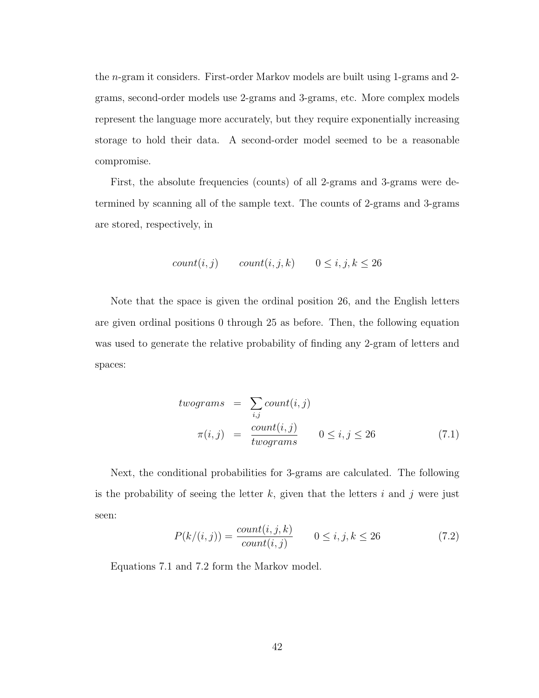the n-gram it considers. First-order Markov models are built using 1-grams and 2 grams, second-order models use 2-grams and 3-grams, etc. More complex models represent the language more accurately, but they require exponentially increasing storage to hold their data. A second-order model seemed to be a reasonable compromise.

First, the absolute frequencies (counts) of all 2-grams and 3-grams were determined by scanning all of the sample text. The counts of 2-grams and 3-grams are stored, respectively, in

$$
count(i, j)
$$
  $count(i, j, k)$   $0 \le i, j, k \le 26$ 

Note that the space is given the ordinal position 26, and the English letters are given ordinal positions 0 through 25 as before. Then, the following equation was used to generate the relative probability of finding any 2-gram of letters and spaces:

*twograms* = 
$$
\sum_{i,j}
$$
 *count*(*i*, *j*)  
\n
$$
\pi(i, j) = \frac{count(i, j)}{twograms} \qquad 0 \le i, j \le 26
$$
\n(7.1)

Next, the conditional probabilities for 3-grams are calculated. The following is the probability of seeing the letter  $k$ , given that the letters  $i$  and  $j$  were just seen:

$$
P(k/(i,j)) = \frac{count(i,j,k)}{count(i,j)} \qquad 0 \le i, j, k \le 26 \tag{7.2}
$$

Equations 7.1 and 7.2 form the Markov model.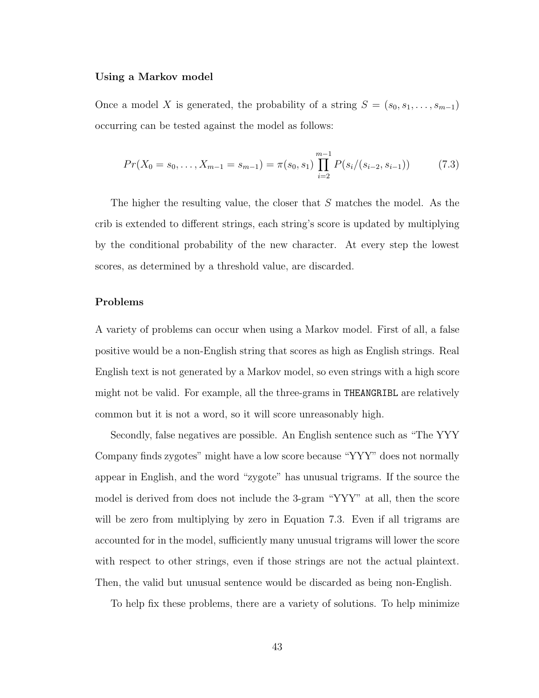#### Using a Markov model

Once a model X is generated, the probability of a string  $S = (s_0, s_1, \ldots, s_{m-1})$ occurring can be tested against the model as follows:

$$
Pr(X_0 = s_0, \dots, X_{m-1} = s_{m-1}) = \pi(s_0, s_1) \prod_{i=2}^{m-1} P(s_i/(s_{i-2}, s_{i-1}))
$$
(7.3)

The higher the resulting value, the closer that S matches the model. As the crib is extended to different strings, each string's score is updated by multiplying by the conditional probability of the new character. At every step the lowest scores, as determined by a threshold value, are discarded.

#### Problems

A variety of problems can occur when using a Markov model. First of all, a false positive would be a non-English string that scores as high as English strings. Real English text is not generated by a Markov model, so even strings with a high score might not be valid. For example, all the three-grams in THEANGRIBL are relatively common but it is not a word, so it will score unreasonably high.

Secondly, false negatives are possible. An English sentence such as "The YYY Company finds zygotes" might have a low score because "YYY" does not normally appear in English, and the word "zygote" has unusual trigrams. If the source the model is derived from does not include the 3-gram "YYY" at all, then the score will be zero from multiplying by zero in Equation 7.3. Even if all trigrams are accounted for in the model, sufficiently many unusual trigrams will lower the score with respect to other strings, even if those strings are not the actual plaintext. Then, the valid but unusual sentence would be discarded as being non-English.

To help fix these problems, there are a variety of solutions. To help minimize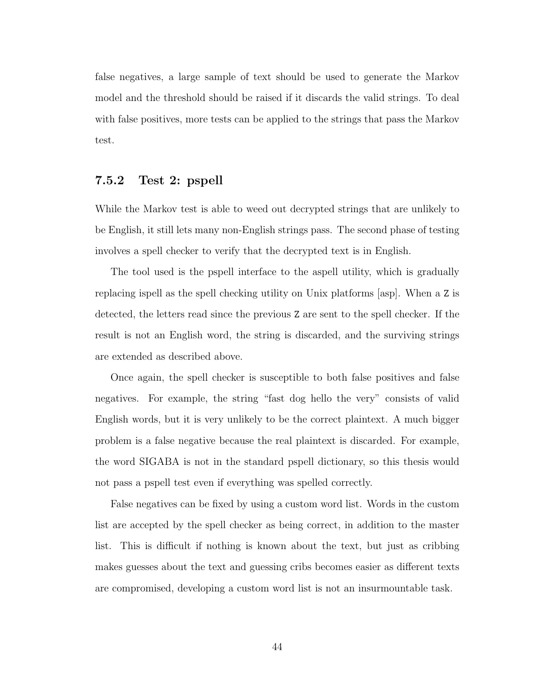false negatives, a large sample of text should be used to generate the Markov model and the threshold should be raised if it discards the valid strings. To deal with false positives, more tests can be applied to the strings that pass the Markov test.

#### 7.5.2 Test 2: pspell

While the Markov test is able to weed out decrypted strings that are unlikely to be English, it still lets many non-English strings pass. The second phase of testing involves a spell checker to verify that the decrypted text is in English.

The tool used is the pspell interface to the aspell utility, which is gradually replacing ispell as the spell checking utility on Unix platforms [asp]. When a Z is detected, the letters read since the previous Z are sent to the spell checker. If the result is not an English word, the string is discarded, and the surviving strings are extended as described above.

Once again, the spell checker is susceptible to both false positives and false negatives. For example, the string "fast dog hello the very" consists of valid English words, but it is very unlikely to be the correct plaintext. A much bigger problem is a false negative because the real plaintext is discarded. For example, the word SIGABA is not in the standard pspell dictionary, so this thesis would not pass a pspell test even if everything was spelled correctly.

False negatives can be fixed by using a custom word list. Words in the custom list are accepted by the spell checker as being correct, in addition to the master list. This is difficult if nothing is known about the text, but just as cribbing makes guesses about the text and guessing cribs becomes easier as different texts are compromised, developing a custom word list is not an insurmountable task.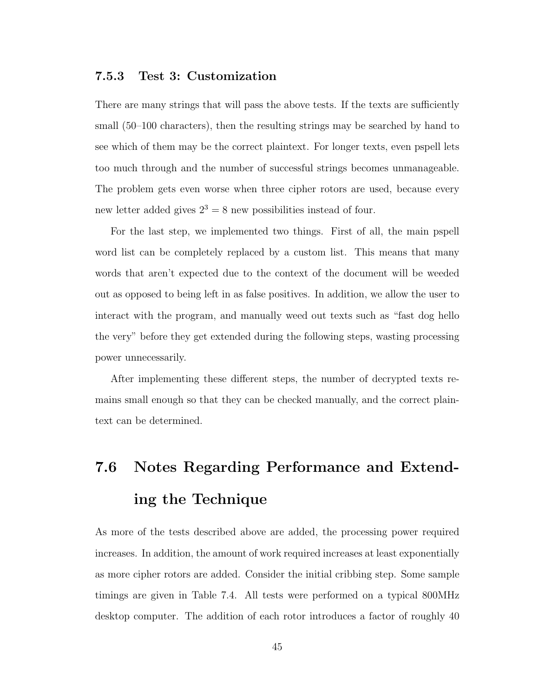#### 7.5.3 Test 3: Customization

There are many strings that will pass the above tests. If the texts are sufficiently small (50–100 characters), then the resulting strings may be searched by hand to see which of them may be the correct plaintext. For longer texts, even pspell lets too much through and the number of successful strings becomes unmanageable. The problem gets even worse when three cipher rotors are used, because every new letter added gives  $2^3 = 8$  new possibilities instead of four.

For the last step, we implemented two things. First of all, the main pspell word list can be completely replaced by a custom list. This means that many words that aren't expected due to the context of the document will be weeded out as opposed to being left in as false positives. In addition, we allow the user to interact with the program, and manually weed out texts such as "fast dog hello the very" before they get extended during the following steps, wasting processing power unnecessarily.

After implementing these different steps, the number of decrypted texts remains small enough so that they can be checked manually, and the correct plaintext can be determined.

## 7.6 Notes Regarding Performance and Extending the Technique

As more of the tests described above are added, the processing power required increases. In addition, the amount of work required increases at least exponentially as more cipher rotors are added. Consider the initial cribbing step. Some sample timings are given in Table 7.4. All tests were performed on a typical 800MHz desktop computer. The addition of each rotor introduces a factor of roughly 40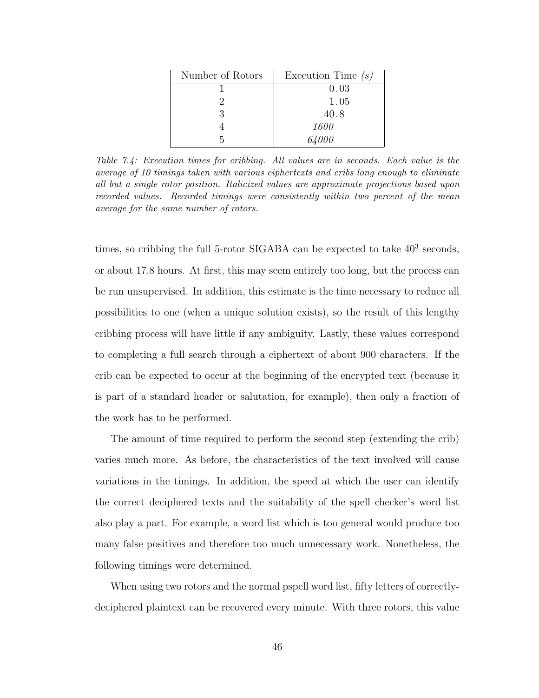| Number of Rotors | Execution Time $(s)$ |
|------------------|----------------------|
|                  | 0.03                 |
|                  | 1.05                 |
| ર                | 40.8                 |
|                  | 1600                 |
|                  | 64000                |

Table 7.4: Execution times for cribbing. All values are in seconds. Each value is the average of 10 timings taken with various ciphertexts and cribs long enough to eliminate all but a single rotor position. Italicized values are approximate projections based upon recorded values. Recorded timings were consistently within two percent of the mean average for the same number of rotors.

times, so cribbing the full 5-rotor SIGABA can be expected to take  $40^3$  seconds, or about 17.8 hours. At first, this may seem entirely too long, but the process can be run unsupervised. In addition, this estimate is the time necessary to reduce all possibilities to one (when a unique solution exists), so the result of this lengthy cribbing process will have little if any ambiguity. Lastly, these values correspond to completing a full search through a ciphertext of about 900 characters. If the crib can be expected to occur at the beginning of the encrypted text (because it is part of a standard header or salutation, for example), then only a fraction of the work has to be performed.

The amount of time required to perform the second step (extending the crib) varies much more. As before, the characteristics of the text involved will cause variations in the timings. In addition, the speed at which the user can identify the correct deciphered texts and the suitability of the spell checker's word list also play a part. For example, a word list which is too general would produce too many false positives and therefore too much unnecessary work. Nonetheless, the following timings were determined.

When using two rotors and the normal pspell word list, fifty letters of correctlydeciphered plaintext can be recovered every minute. With three rotors, this value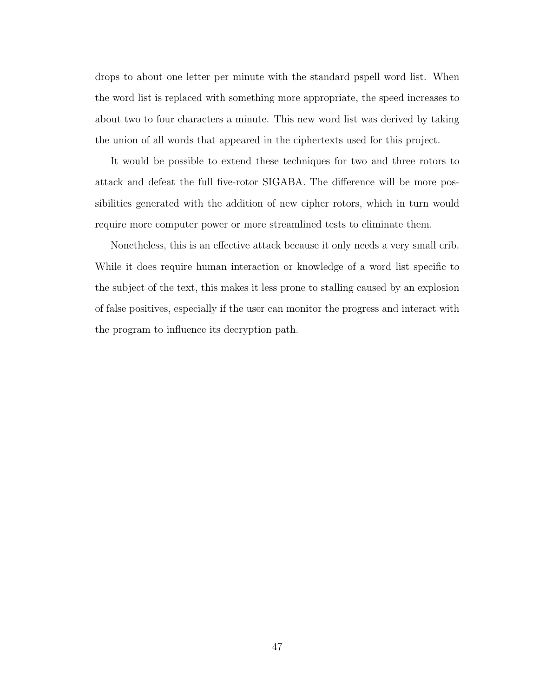drops to about one letter per minute with the standard pspell word list. When the word list is replaced with something more appropriate, the speed increases to about two to four characters a minute. This new word list was derived by taking the union of all words that appeared in the ciphertexts used for this project.

It would be possible to extend these techniques for two and three rotors to attack and defeat the full five-rotor SIGABA. The difference will be more possibilities generated with the addition of new cipher rotors, which in turn would require more computer power or more streamlined tests to eliminate them.

Nonetheless, this is an effective attack because it only needs a very small crib. While it does require human interaction or knowledge of a word list specific to the subject of the text, this makes it less prone to stalling caused by an explosion of false positives, especially if the user can monitor the progress and interact with the program to influence its decryption path.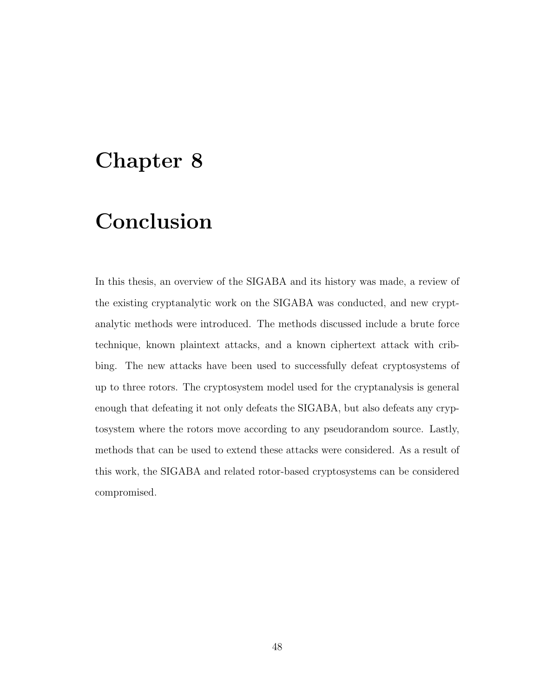## Chapter 8

## Conclusion

In this thesis, an overview of the SIGABA and its history was made, a review of the existing cryptanalytic work on the SIGABA was conducted, and new cryptanalytic methods were introduced. The methods discussed include a brute force technique, known plaintext attacks, and a known ciphertext attack with cribbing. The new attacks have been used to successfully defeat cryptosystems of up to three rotors. The cryptosystem model used for the cryptanalysis is general enough that defeating it not only defeats the SIGABA, but also defeats any cryptosystem where the rotors move according to any pseudorandom source. Lastly, methods that can be used to extend these attacks were considered. As a result of this work, the SIGABA and related rotor-based cryptosystems can be considered compromised.